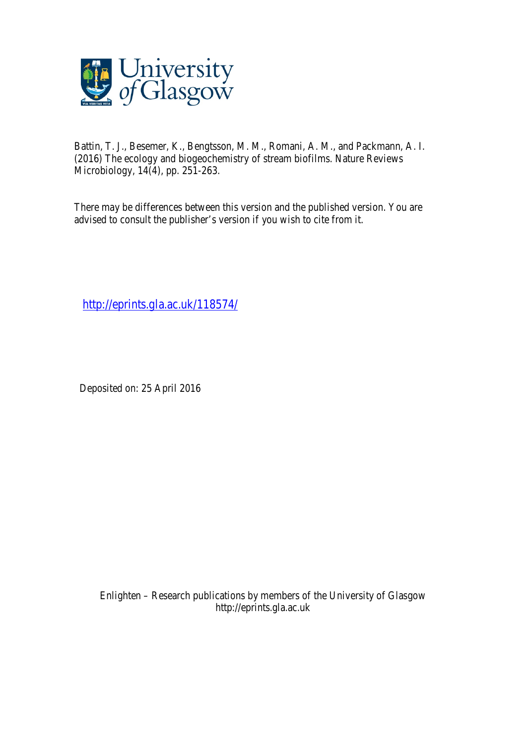

Battin, T. J., Besemer, K., Bengtsson, M. M., Romani, A. M., and Packmann, A. I. (2016) The ecology and biogeochemistry of stream biofilms. Nature Reviews Microbiology, 14(4), pp. 251-263.

There may be differences between this version and the published version. You are advised to consult the publisher's version if you wish to cite from it.

http://eprints.gla.ac.uk/118574/

Deposited on: 25 April 2016

Enlighten – Research publications by members of the University of Glasgow http://eprints.gla.ac.uk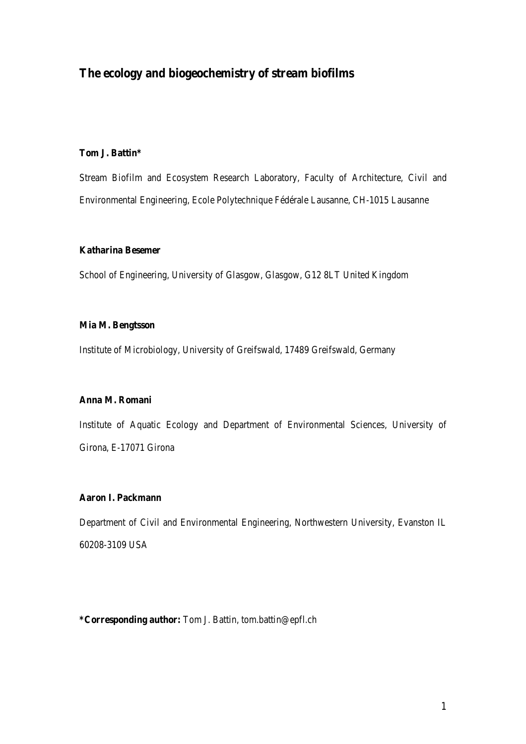## **The ecology and biogeochemistry of stream biofilms**

## **Tom J. Battin\***

Stream Biofilm and Ecosystem Research Laboratory, Faculty of Architecture, Civil and Environmental Engineering, Ecole Polytechnique Fédérale Lausanne, CH-1015 Lausanne

#### **Katharina Besemer**

School of Engineering, University of Glasgow, Glasgow, G12 8LT United Kingdom

### **Mia M. Bengtsson**

Institute of Microbiology, University of Greifswald, 17489 Greifswald, Germany

## **Anna M. Romani**

Institute of Aquatic Ecology and Department of Environmental Sciences, University of Girona, E-17071 Girona

## **Aaron I. Packmann**

Department of Civil and Environmental Engineering, Northwestern University, Evanston IL 60208-3109 USA

**\*Corresponding author:** Tom J. Battin, tom.battin@epfl.ch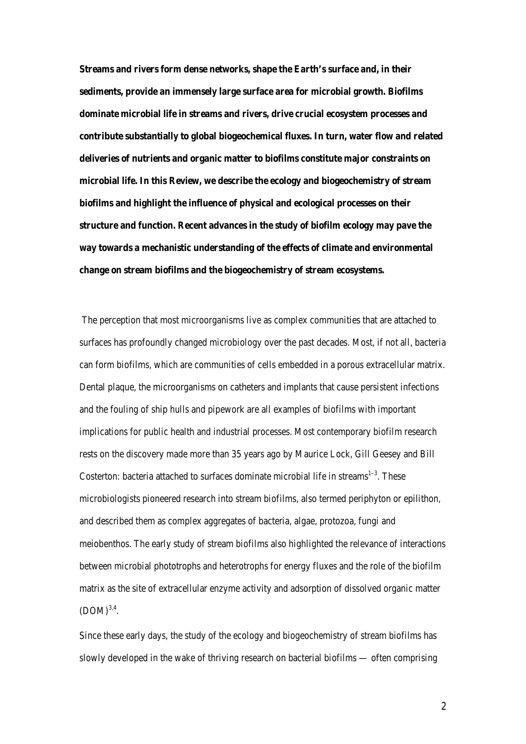**Streams and rivers form dense networks, shape the Earth's surface and, in their sediments, provide an immensely large surface area for microbial growth. Biofilms dominate microbial life in streams and rivers, drive crucial ecosystem processes and contribute substantially to global biogeochemical fluxes. In turn, water flow and related deliveries of nutrients and organic matter to biofilms constitute major constraints on microbial life. In this Review, we describe the ecology and biogeochemistry of stream biofilms and highlight the influence of physical and ecological processes on their structure and function. Recent advances in the study of biofilm ecology may pave the way towards a mechanistic understanding of the effects of climate and environmental change on stream biofilms and the biogeochemistry of stream ecosystems.**

The perception that most microorganisms live as complex communities that are attached to surfaces has profoundly changed microbiology over the past decades. Most, if not all, bacteria can form biofilms, which are communities of cells embedded in a porous extracellular matrix. Dental plaque, the microorganisms on catheters and implants that cause persistent infections and the fouling of ship hulls and pipework are all examples of biofilms with important implications for public health and industrial processes. Most contemporary biofilm research rests on the discovery made more than 35 years ago by Maurice Lock, Gill Geesey and Bill Costerton: bacteria attached to surfaces dominate microbial life in streams<sup>1-3</sup>. These microbiologists pioneered research into stream biofilms, also termed periphyton or epilithon, and described them as complex aggregates of bacteria, algae, protozoa, fungi and meiobenthos. The early study of stream biofilms also highlighted the relevance of interactions between microbial phototrophs and heterotrophs for energy fluxes and the role of the biofilm matrix as the site of extracellular enzyme activity and adsorption of dissolved organic matter  $(DOM)^{3,4}$ .

Since these early days, the study of the ecology and biogeochemistry of stream biofilms has slowly developed in the wake of thriving research on bacterial biofilms — often comprising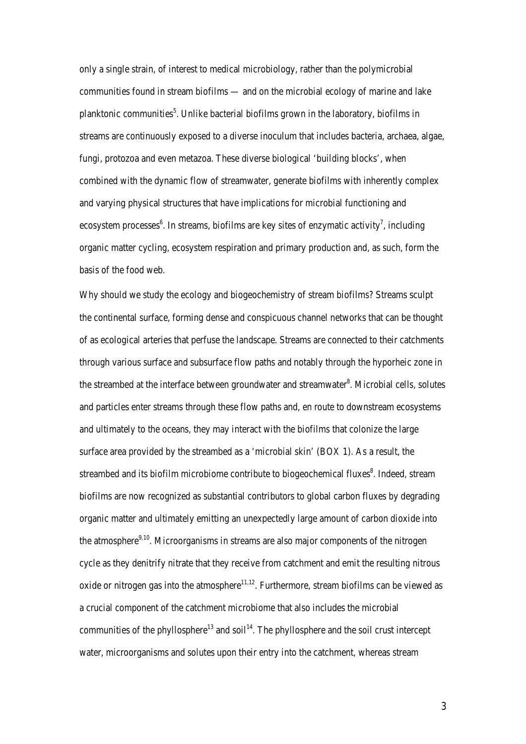only a single strain, of interest to medical microbiology, rather than the polymicrobial communities found in stream biofilms — and on the microbial ecology of marine and lake planktonic communities<sup>5</sup>. Unlike bacterial biofilms grown in the laboratory, biofilms in streams are continuously exposed to a diverse inoculum that includes bacteria, archaea, algae, fungi, protozoa and even metazoa. These diverse biological 'building blocks', when combined with the dynamic flow of streamwater, generate biofilms with inherently complex and varying physical structures that have implications for microbial functioning and ecosystem processes<sup>6</sup>. In streams, biofilms are key sites of enzymatic activity<sup>7</sup>, including organic matter cycling, ecosystem respiration and primary production and, as such, form the basis of the food web.

Why should we study the ecology and biogeochemistry of stream biofilms? Streams sculpt the continental surface, forming dense and conspicuous channel networks that can be thought of as ecological arteries that perfuse the landscape. Streams are connected to their catchments through various surface and subsurface flow paths and notably through the hyporheic zone in the streambed at the interface between groundwater and streamwater<sup>8</sup>. Microbial cells, solutes and particles enter streams through these flow paths and, en route to downstream ecosystems and ultimately to the oceans, they may interact with the biofilms that colonize the large surface area provided by the streambed as a 'microbial skin' (BOX 1). As a result, the streambed and its biofilm microbiome contribute to biogeochemical fluxes<sup>8</sup>. Indeed, stream biofilms are now recognized as substantial contributors to global carbon fluxes by degrading organic matter and ultimately emitting an unexpectedly large amount of carbon dioxide into the atmosphere $9,10$ . Microorganisms in streams are also major components of the nitrogen cycle as they denitrify nitrate that they receive from catchment and emit the resulting nitrous oxide or nitrogen gas into the atmosphere $11,12$ . Furthermore, stream biofilms can be viewed as a crucial component of the catchment microbiome that also includes the microbial communities of the phyllosphere<sup>13</sup> and soil<sup>14</sup>. The phyllosphere and the soil crust intercept water, microorganisms and solutes upon their entry into the catchment, whereas stream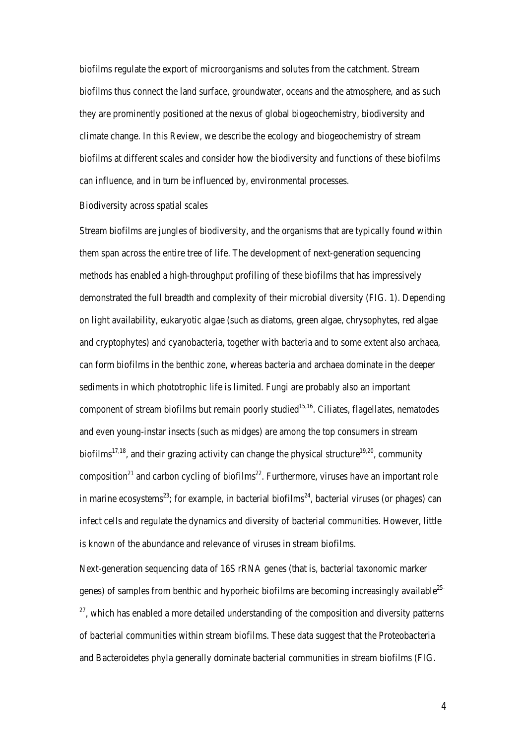biofilms regulate the export of microorganisms and solutes from the catchment. Stream biofilms thus connect the land surface, groundwater, oceans and the atmosphere, and as such they are prominently positioned at the nexus of global biogeochemistry, biodiversity and climate change. In this Review, we describe the ecology and biogeochemistry of stream biofilms at different scales and consider how the biodiversity and functions of these biofilms can influence, and in turn be influenced by, environmental processes.

#### Biodiversity across spatial scales

Stream biofilms are jungles of biodiversity, and the organisms that are typically found within them span across the entire tree of life. The development of next-generation sequencing methods has enabled a high-throughput profiling of these biofilms that has impressively demonstrated the full breadth and complexity of their microbial diversity (FIG. 1). Depending on light availability, eukaryotic algae (such as diatoms, green algae, chrysophytes, red algae and cryptophytes) and cyanobacteria, together with bacteria and to some extent also archaea, can form biofilms in the benthic zone, whereas bacteria and archaea dominate in the deeper sediments in which phototrophic life is limited. Fungi are probably also an important component of stream biofilms but remain poorly studied<sup>15,16</sup>. Ciliates, flagellates, nematodes and even young-instar insects (such as midges) are among the top consumers in stream biofilms<sup>17,18</sup>, and their grazing activity can change the physical structure<sup>19,20</sup>, community composition<sup>21</sup> and carbon cycling of biofilms<sup>22</sup>. Furthermore, viruses have an important role in marine ecosystems<sup>23</sup>; for example, in bacterial biofilms<sup>24</sup>, bacterial viruses (or phages) can infect cells and regulate the dynamics and diversity of bacterial communities. However, little is known of the abundance and relevance of viruses in stream biofilms.

Next-generation sequencing data of 16S rRNA genes (that is, bacterial taxonomic marker genes) of samples from benthic and hyporheic biofilms are becoming increasingly available $^{25-}$  $27$ , which has enabled a more detailed understanding of the composition and diversity patterns of bacterial communities within stream biofilms. These data suggest that the Proteobacteria and Bacteroidetes phyla generally dominate bacterial communities in stream biofilms (FIG.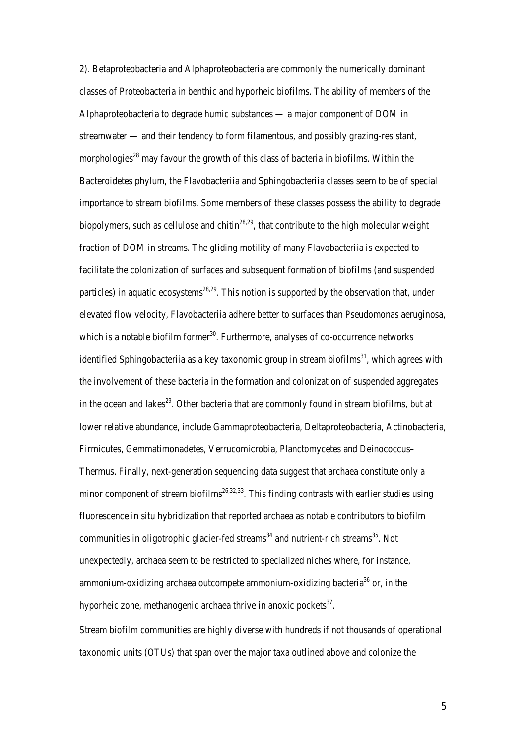2). Betaproteobacteria and Alphaproteobacteria are commonly the numerically dominant classes of Proteobacteria in benthic and hyporheic biofilms. The ability of members of the Alphaproteobacteria to degrade humic substances — a major component of DOM in streamwater — and their tendency to form filamentous, and possibly grazing-resistant, morphologies<sup>28</sup> may favour the growth of this class of bacteria in biofilms. Within the Bacteroidetes phylum, the Flavobacteriia and Sphingobacteriia classes seem to be of special importance to stream biofilms. Some members of these classes possess the ability to degrade biopolymers, such as cellulose and chitin<sup>28,29</sup>, that contribute to the high molecular weight fraction of DOM in streams. The gliding motility of many Flavobacteriia is expected to facilitate the colonization of surfaces and subsequent formation of biofilms (and suspended particles) in aquatic ecosystems<sup>28,29</sup>. This notion is supported by the observation that, under elevated flow velocity, Flavobacteriia adhere better to surfaces than Pseudomonas aeruginosa, which is a notable biofilm former $30$ . Furthermore, analyses of co-occurrence networks identified Sphingobacteriia as a key taxonomic group in stream biofilms<sup>31</sup>, which agrees with the involvement of these bacteria in the formation and colonization of suspended aggregates in the ocean and lakes<sup>29</sup>. Other bacteria that are commonly found in stream biofilms, but at lower relative abundance, include Gammaproteobacteria, Deltaproteobacteria, Actinobacteria, Firmicutes, Gemmatimonadetes, Verrucomicrobia, Planctomycetes and Deinococcus– Thermus. Finally, next-generation sequencing data suggest that archaea constitute only a minor component of stream biofilms<sup>26,32,33</sup>. This finding contrasts with earlier studies using fluorescence in situ hybridization that reported archaea as notable contributors to biofilm communities in oligotrophic glacier-fed streams<sup>34</sup> and nutrient-rich streams<sup>35</sup>. Not unexpectedly, archaea seem to be restricted to specialized niches where, for instance, ammonium-oxidizing archaea outcompete ammonium-oxidizing bacteria<sup>36</sup> or, in the hyporheic zone, methanogenic archaea thrive in anoxic pockets $37$ .

Stream biofilm communities are highly diverse with hundreds if not thousands of operational taxonomic units (OTUs) that span over the major taxa outlined above and colonize the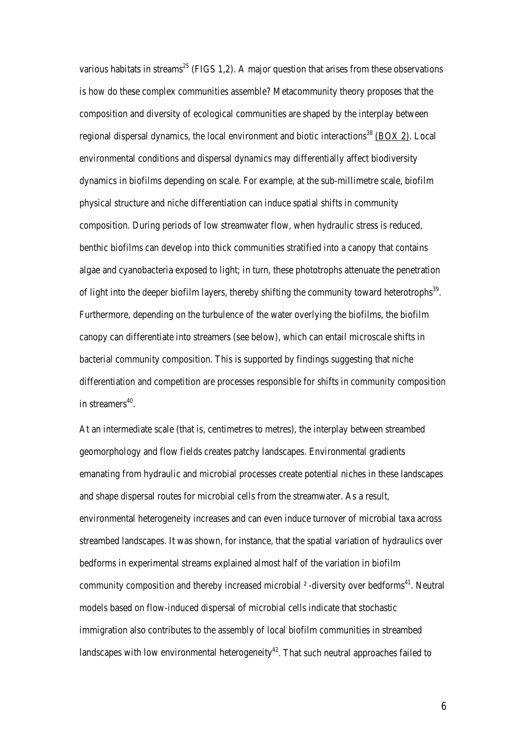various habitats in streams<sup>25</sup> (FIGS 1,2). A major question that arises from these observations is how do these complex communities assemble? Metacommunity theory proposes that the composition and diversity of ecological communities are shaped by the interplay between regional dispersal dynamics, the local environment and biotic interactions<sup>38</sup> (BOX 2). Local environmental conditions and dispersal dynamics may differentially affect biodiversity dynamics in biofilms depending on scale. For example, at the sub-millimetre scale, biofilm physical structure and niche differentiation can induce spatial shifts in community composition. During periods of low streamwater flow, when hydraulic stress is reduced, benthic biofilms can develop into thick communities stratified into a canopy that contains algae and cyanobacteria exposed to light; in turn, these phototrophs attenuate the penetration of light into the deeper biofilm layers, thereby shifting the community toward heterotrophs<sup>39</sup>. Furthermore, depending on the turbulence of the water overlying the biofilms, the biofilm canopy can differentiate into streamers (see below), which can entail microscale shifts in bacterial community composition. This is supported by findings suggesting that niche differentiation and competition are processes responsible for shifts in community composition in streamers $40$ .

At an intermediate scale (that is, centimetres to metres), the interplay between streambed geomorphology and flow fields creates patchy landscapes. Environmental gradients emanating from hydraulic and microbial processes create potential niches in these landscapes and shape dispersal routes for microbial cells from the streamwater. As a result, environmental heterogeneity increases and can even induce turnover of microbial taxa across streambed landscapes. It was shown, for instance, that the spatial variation of hydraulics over bedforms in experimental streams explained almost half of the variation in biofilm community composition and thereby increased microbial  $\alpha$ -diversity over bedforms<sup>41</sup>. Neutral models based on flow-induced dispersal of microbial cells indicate that stochastic immigration also contributes to the assembly of local biofilm communities in streambed landscapes with low environmental heterogeneity<sup>42</sup>. That such neutral approaches failed to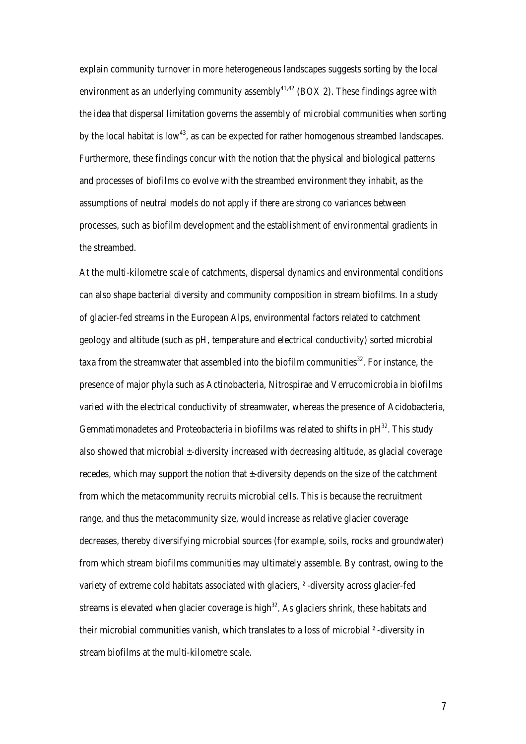explain community turnover in more heterogeneous landscapes suggests sorting by the local environment as an underlying community assembly<sup>41,42</sup> (BOX 2). These findings agree with the idea that dispersal limitation governs the assembly of microbial communities when sorting by the local habitat is low<sup>43</sup>, as can be expected for rather homogenous streambed landscapes. Furthermore, these findings concur with the notion that the physical and biological patterns and processes of biofilms co evolve with the streambed environment they inhabit, as the assumptions of neutral models do not apply if there are strong co variances between processes, such as biofilm development and the establishment of environmental gradients in the streambed.

At the multi-kilometre scale of catchments, dispersal dynamics and environmental conditions can also shape bacterial diversity and community composition in stream biofilms. In a study of glacier-fed streams in the European Alps, environmental factors related to catchment geology and altitude (such as pH, temperature and electrical conductivity) sorted microbial taxa from the streamwater that assembled into the biofilm communities<sup>32</sup>. For instance, the presence of major phyla such as Actinobacteria, Nitrospirae and Verrucomicrobia in biofilms varied with the electrical conductivity of streamwater, whereas the presence of Acidobacteria, Gemmatimonadetes and Proteobacteria in biofilms was related to shifts in  $pH^{32}$ . This study also showed that microbial ±-diversity increased with decreasing altitude, as glacial coverage recedes, which may support the notion that ±-diversity depends on the size of the catchment from which the metacommunity recruits microbial cells. This is because the recruitment range, and thus the metacommunity size, would increase as relative glacier coverage decreases, thereby diversifying microbial sources (for example, soils, rocks and groundwater) from which stream biofilms communities may ultimately assemble. By contrast, owing to the variety of extreme cold habitats associated with glaciers, ² -diversity across glacier-fed streams is elevated when glacier coverage is high $32$ . As glaciers shrink, these habitats and their microbial communities vanish, which translates to a loss of microbial ² -diversity in stream biofilms at the multi-kilometre scale.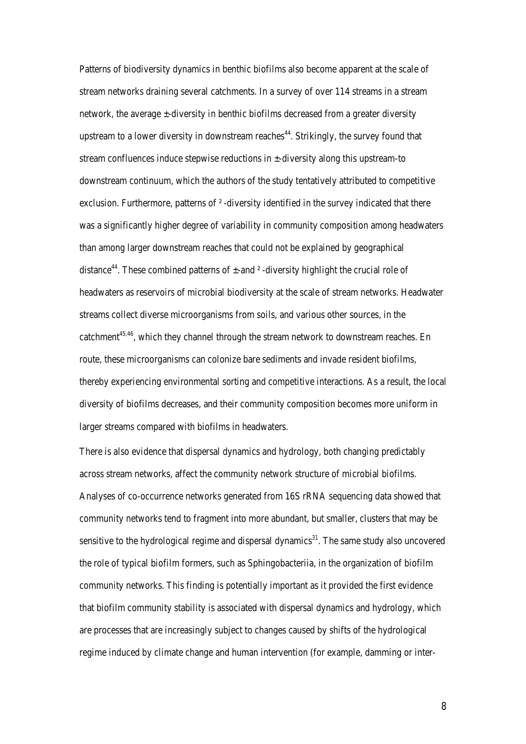Patterns of biodiversity dynamics in benthic biofilms also become apparent at the scale of stream networks draining several catchments. In a survey of over 114 streams in a stream network, the average  $\pm$ -diversity in benthic biofilms decreased from a greater diversity upstream to a lower diversity in downstream reaches<sup>44</sup>. Strikingly, the survey found that stream confluences induce stepwise reductions in ±-diversity along this upstream-to downstream continuum, which the authors of the study tentatively attributed to competitive exclusion. Furthermore, patterns of <sup>2</sup>-diversity identified in the survey indicated that there was a significantly higher degree of variability in community composition among headwaters than among larger downstream reaches that could not be explained by geographical distance<sup>44</sup>. These combined patterns of  $\pm$ -and  $\frac{2}{3}$ -diversity highlight the crucial role of headwaters as reservoirs of microbial biodiversity at the scale of stream networks. Headwater streams collect diverse microorganisms from soils, and various other sources, in the catchment<sup>45,46</sup>, which they channel through the stream network to downstream reaches. En route, these microorganisms can colonize bare sediments and invade resident biofilms, thereby experiencing environmental sorting and competitive interactions. As a result, the local diversity of biofilms decreases, and their community composition becomes more uniform in larger streams compared with biofilms in headwaters.

There is also evidence that dispersal dynamics and hydrology, both changing predictably across stream networks, affect the community network structure of microbial biofilms. Analyses of co-occurrence networks generated from 16S rRNA sequencing data showed that community networks tend to fragment into more abundant, but smaller, clusters that may be sensitive to the hydrological regime and dispersal dynamics $31$ . The same study also uncovered the role of typical biofilm formers, such as Sphingobacteriia, in the organization of biofilm community networks. This finding is potentially important as it provided the first evidence that biofilm community stability is associated with dispersal dynamics and hydrology, which are processes that are increasingly subject to changes caused by shifts of the hydrological regime induced by climate change and human intervention (for example, damming or inter-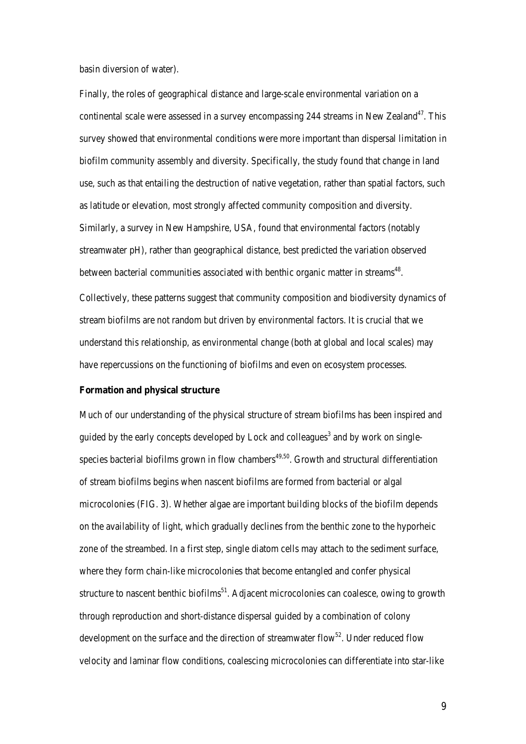basin diversion of water).

Finally, the roles of geographical distance and large-scale environmental variation on a continental scale were assessed in a survey encompassing 244 streams in New Zealand<sup>47</sup>. This survey showed that environmental conditions were more important than dispersal limitation in biofilm community assembly and diversity. Specifically, the study found that change in land use, such as that entailing the destruction of native vegetation, rather than spatial factors, such as latitude or elevation, most strongly affected community composition and diversity. Similarly, a survey in New Hampshire, USA, found that environmental factors (notably streamwater pH), rather than geographical distance, best predicted the variation observed between bacterial communities associated with benthic organic matter in streams<sup>48</sup>. Collectively, these patterns suggest that community composition and biodiversity dynamics of stream biofilms are not random but driven by environmental factors. It is crucial that we understand this relationship, as environmental change (both at global and local scales) may have repercussions on the functioning of biofilms and even on ecosystem processes.

#### **Formation and physical structure**

Much of our understanding of the physical structure of stream biofilms has been inspired and guided by the early concepts developed by Lock and colleagues<sup>3</sup> and by work on singlespecies bacterial biofilms grown in flow chambers<sup> $49,50$ </sup>. Growth and structural differentiation of stream biofilms begins when nascent biofilms are formed from bacterial or algal microcolonies (FIG. 3). Whether algae are important building blocks of the biofilm depends on the availability of light, which gradually declines from the benthic zone to the hyporheic zone of the streambed. In a first step, single diatom cells may attach to the sediment surface, where they form chain-like microcolonies that become entangled and confer physical structure to nascent benthic biofilms<sup>51</sup>. Adjacent microcolonies can coalesce, owing to growth through reproduction and short-distance dispersal guided by a combination of colony development on the surface and the direction of streamwater flow<sup>52</sup>. Under reduced flow velocity and laminar flow conditions, coalescing microcolonies can differentiate into star-like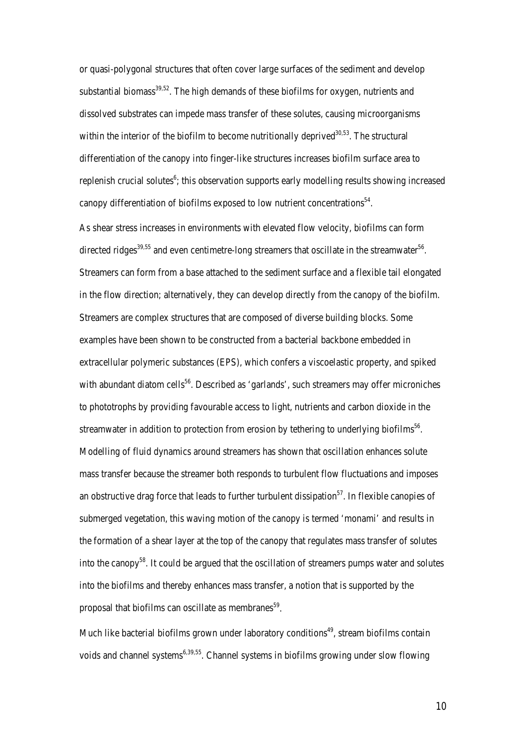or quasi-polygonal structures that often cover large surfaces of the sediment and develop substantial biomass $39,52$ . The high demands of these biofilms for oxygen, nutrients and dissolved substrates can impede mass transfer of these solutes, causing microorganisms within the interior of the biofilm to become nutritionally deprived  $30,53$ . The structural differentiation of the canopy into finger-like structures increases biofilm surface area to replenish crucial solutes<sup>6</sup>; this observation supports early modelling results showing increased canopy differentiation of biofilms exposed to low nutrient concentrations<sup>54</sup>.

As shear stress increases in environments with elevated flow velocity, biofilms can form directed ridges<sup>39,55</sup> and even centimetre-long streamers that oscillate in the streamwater<sup>56</sup>. Streamers can form from a base attached to the sediment surface and a flexible tail elongated in the flow direction; alternatively, they can develop directly from the canopy of the biofilm. Streamers are complex structures that are composed of diverse building blocks. Some examples have been shown to be constructed from a bacterial backbone embedded in extracellular polymeric substances (EPS), which confers a viscoelastic property, and spiked with abundant diatom cells<sup>56</sup>. Described as 'garlands', such streamers may offer microniches to phototrophs by providing favourable access to light, nutrients and carbon dioxide in the streamwater in addition to protection from erosion by tethering to underlying biofilms<sup>56</sup>. Modelling of fluid dynamics around streamers has shown that oscillation enhances solute mass transfer because the streamer both responds to turbulent flow fluctuations and imposes an obstructive drag force that leads to further turbulent dissipation<sup>57</sup>. In flexible canopies of submerged vegetation, this waving motion of the canopy is termed 'monami' and results in the formation of a shear layer at the top of the canopy that regulates mass transfer of solutes into the canopy<sup>58</sup>. It could be argued that the oscillation of streamers pumps water and solutes into the biofilms and thereby enhances mass transfer, a notion that is supported by the proposal that biofilms can oscillate as membranes<sup>59</sup>.

Much like bacterial biofilms grown under laboratory conditions<sup>49</sup>, stream biofilms contain voids and channel systems<sup>6,39,55</sup>. Channel systems in biofilms growing under slow flowing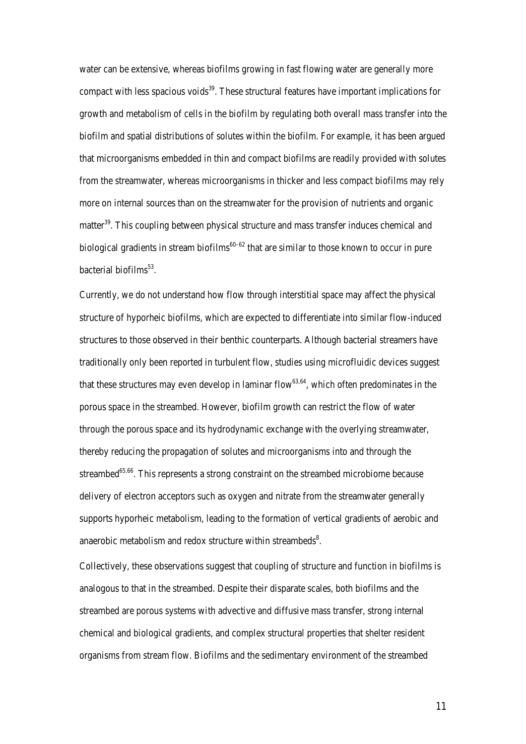water can be extensive, whereas biofilms growing in fast flowing water are generally more compact with less spacious voids $39$ . These structural features have important implications for growth and metabolism of cells in the biofilm by regulating both overall mass transfer into the biofilm and spatial distributions of solutes within the biofilm. For example, it has been argued that microorganisms embedded in thin and compact biofilms are readily provided with solutes from the streamwater, whereas microorganisms in thicker and less compact biofilms may rely more on internal sources than on the streamwater for the provision of nutrients and organic matter<sup>39</sup>. This coupling between physical structure and mass transfer induces chemical and biological gradients in stream biofilms<sup>60–62</sup> that are similar to those known to occur in pure bacterial biofilms $^{53}$ .

Currently, we do not understand how flow through interstitial space may affect the physical structure of hyporheic biofilms, which are expected to differentiate into similar flow-induced structures to those observed in their benthic counterparts. Although bacterial streamers have traditionally only been reported in turbulent flow, studies using microfluidic devices suggest that these structures may even develop in laminar flow<sup>63,64</sup>, which often predominates in the porous space in the streambed. However, biofilm growth can restrict the flow of water through the porous space and its hydrodynamic exchange with the overlying streamwater, thereby reducing the propagation of solutes and microorganisms into and through the streambed<sup>65,66</sup>. This represents a strong constraint on the streambed microbiome because delivery of electron acceptors such as oxygen and nitrate from the streamwater generally supports hyporheic metabolism, leading to the formation of vertical gradients of aerobic and anaerobic metabolism and redox structure within streambeds<sup>8</sup>.

Collectively, these observations suggest that coupling of structure and function in biofilms is analogous to that in the streambed. Despite their disparate scales, both biofilms and the streambed are porous systems with advective and diffusive mass transfer, strong internal chemical and biological gradients, and complex structural properties that shelter resident organisms from stream flow. Biofilms and the sedimentary environment of the streambed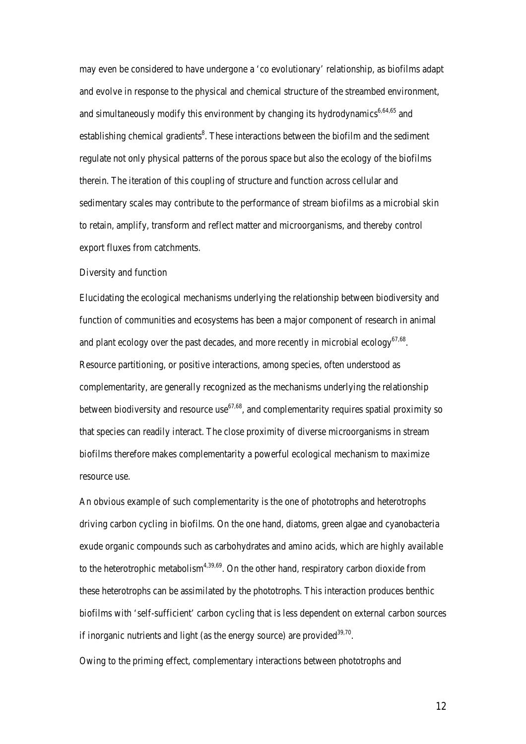may even be considered to have undergone a 'co evolutionary' relationship, as biofilms adapt and evolve in response to the physical and chemical structure of the streambed environment, and simultaneously modify this environment by changing its hydrodynamics<sup>6,64,65</sup> and establishing chemical gradients<sup>8</sup>. These interactions between the biofilm and the sediment regulate not only physical patterns of the porous space but also the ecology of the biofilms therein. The iteration of this coupling of structure and function across cellular and sedimentary scales may contribute to the performance of stream biofilms as a microbial skin to retain, amplify, transform and reflect matter and microorganisms, and thereby control export fluxes from catchments.

#### Diversity and function

Elucidating the ecological mechanisms underlying the relationship between biodiversity and function of communities and ecosystems has been a major component of research in animal and plant ecology over the past decades, and more recently in microbial ecology<sup>67,68</sup>. Resource partitioning, or positive interactions, among species, often understood as complementarity, are generally recognized as the mechanisms underlying the relationship between biodiversity and resource use  $67,68$ , and complementarity requires spatial proximity so that species can readily interact. The close proximity of diverse microorganisms in stream biofilms therefore makes complementarity a powerful ecological mechanism to maximize resource use.

An obvious example of such complementarity is the one of phototrophs and heterotrophs driving carbon cycling in biofilms. On the one hand, diatoms, green algae and cyanobacteria exude organic compounds such as carbohydrates and amino acids, which are highly available to the heterotrophic metabolism<sup> $4,39,69$ </sup>. On the other hand, respiratory carbon dioxide from these heterotrophs can be assimilated by the phototrophs. This interaction produces benthic biofilms with 'self-sufficient' carbon cycling that is less dependent on external carbon sources if inorganic nutrients and light (as the energy source) are provided  $39,70$ .

Owing to the priming effect, complementary interactions between phototrophs and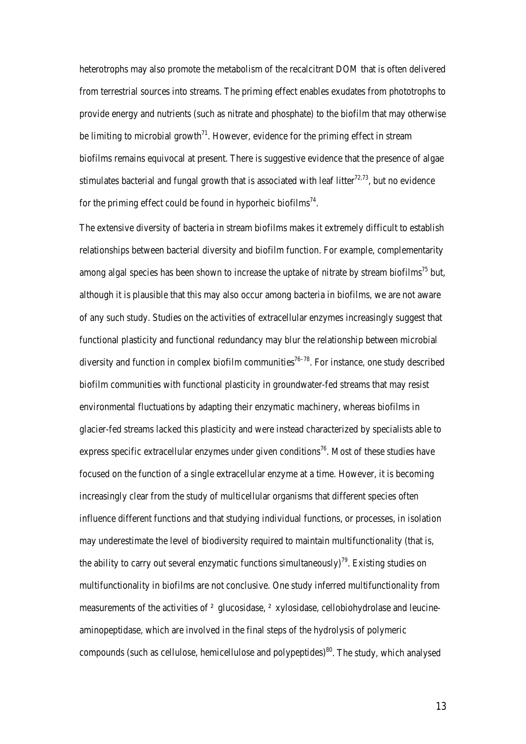heterotrophs may also promote the metabolism of the recalcitrant DOM that is often delivered from terrestrial sources into streams. The priming effect enables exudates from phototrophs to provide energy and nutrients (such as nitrate and phosphate) to the biofilm that may otherwise be limiting to microbial growth<sup> $71$ </sup>. However, evidence for the priming effect in stream biofilms remains equivocal at present. There is suggestive evidence that the presence of algae stimulates bacterial and fungal growth that is associated with leaf litter<sup>72,73</sup>, but no evidence for the priming effect could be found in hyporheic biofilms<sup>74</sup>.

The extensive diversity of bacteria in stream biofilms makes it extremely difficult to establish relationships between bacterial diversity and biofilm function. For example, complementarity among algal species has been shown to increase the uptake of nitrate by stream biofilms<sup>75</sup> but, although it is plausible that this may also occur among bacteria in biofilms, we are not aware of any such study. Studies on the activities of extracellular enzymes increasingly suggest that functional plasticity and functional redundancy may blur the relationship between microbial diversity and function in complex biofilm communities<sup>76–78</sup>. For instance, one study described biofilm communities with functional plasticity in groundwater-fed streams that may resist environmental fluctuations by adapting their enzymatic machinery, whereas biofilms in glacier-fed streams lacked this plasticity and were instead characterized by specialists able to express specific extracellular enzymes under given conditions<sup>76</sup>. Most of these studies have focused on the function of a single extracellular enzyme at a time. However, it is becoming increasingly clear from the study of multicellular organisms that different species often influence different functions and that studying individual functions, or processes, in isolation may underestimate the level of biodiversity required to maintain multifunctionality (that is, the ability to carry out several enzymatic functions simultaneously)<sup>79</sup>. Existing studies on multifunctionality in biofilms are not conclusive. One study inferred multifunctionality from measurements of the activities of <sup>2</sup> glucosidase, <sup>2</sup> xylosidase, cellobiohydrolase and leucineaminopeptidase, which are involved in the final steps of the hydrolysis of polymeric compounds (such as cellulose, hemicellulose and polypeptides)<sup>80</sup>. The study, which analysed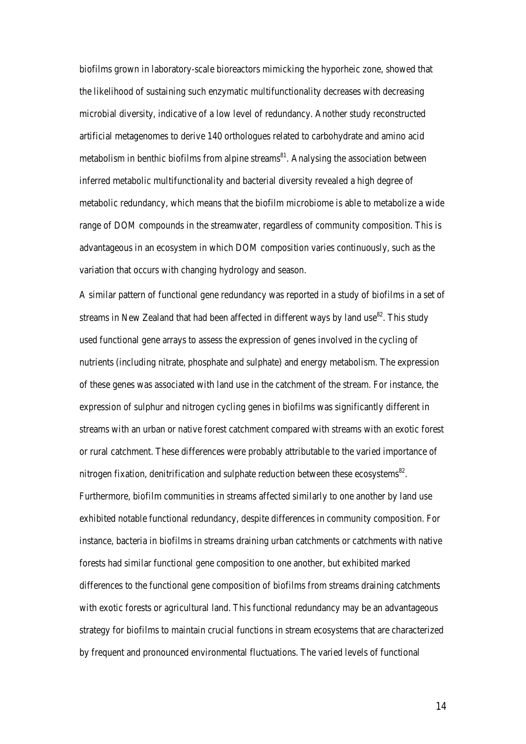biofilms grown in laboratory-scale bioreactors mimicking the hyporheic zone, showed that the likelihood of sustaining such enzymatic multifunctionality decreases with decreasing microbial diversity, indicative of a low level of redundancy. Another study reconstructed artificial metagenomes to derive 140 orthologues related to carbohydrate and amino acid metabolism in benthic biofilms from alpine streams<sup>81</sup>. Analysing the association between inferred metabolic multifunctionality and bacterial diversity revealed a high degree of metabolic redundancy, which means that the biofilm microbiome is able to metabolize a wide range of DOM compounds in the streamwater, regardless of community composition. This is advantageous in an ecosystem in which DOM composition varies continuously, such as the variation that occurs with changing hydrology and season.

A similar pattern of functional gene redundancy was reported in a study of biofilms in a set of streams in New Zealand that had been affected in different ways by land use  $82$ . This study used functional gene arrays to assess the expression of genes involved in the cycling of nutrients (including nitrate, phosphate and sulphate) and energy metabolism. The expression of these genes was associated with land use in the catchment of the stream. For instance, the expression of sulphur and nitrogen cycling genes in biofilms was significantly different in streams with an urban or native forest catchment compared with streams with an exotic forest or rural catchment. These differences were probably attributable to the varied importance of nitrogen fixation, denitrification and sulphate reduction between these ecosystems<sup>82</sup>. Furthermore, biofilm communities in streams affected similarly to one another by land use exhibited notable functional redundancy, despite differences in community composition. For instance, bacteria in biofilms in streams draining urban catchments or catchments with native forests had similar functional gene composition to one another, but exhibited marked differences to the functional gene composition of biofilms from streams draining catchments with exotic forests or agricultural land. This functional redundancy may be an advantageous strategy for biofilms to maintain crucial functions in stream ecosystems that are characterized by frequent and pronounced environmental fluctuations. The varied levels of functional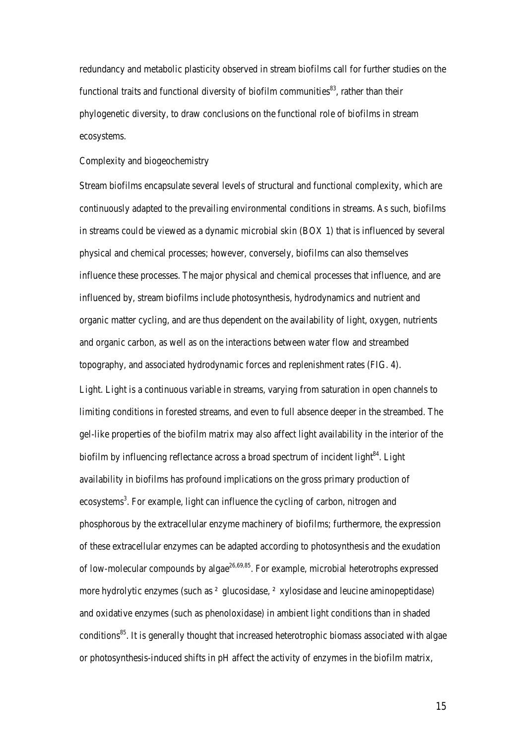redundancy and metabolic plasticity observed in stream biofilms call for further studies on the functional traits and functional diversity of biofilm communities $^{83}$ , rather than their phylogenetic diversity, to draw conclusions on the functional role of biofilms in stream ecosystems.

## Complexity and biogeochemistry

Stream biofilms encapsulate several levels of structural and functional complexity, which are continuously adapted to the prevailing environmental conditions in streams. As such, biofilms in streams could be viewed as a dynamic microbial skin (BOX 1) that is influenced by several physical and chemical processes; however, conversely, biofilms can also themselves influence these processes. The major physical and chemical processes that influence, and are influenced by, stream biofilms include photosynthesis, hydrodynamics and nutrient and organic matter cycling, and are thus dependent on the availability of light, oxygen, nutrients and organic carbon, as well as on the interactions between water flow and streambed topography, and associated hydrodynamic forces and replenishment rates (FIG. 4).

Light. Light is a continuous variable in streams, varying from saturation in open channels to limiting conditions in forested streams, and even to full absence deeper in the streambed. The gel-like properties of the biofilm matrix may also affect light availability in the interior of the biofilm by influencing reflectance across a broad spectrum of incident light<sup>84</sup>. Light availability in biofilms has profound implications on the gross primary production of ecosystems<sup>3</sup>. For example, light can influence the cycling of carbon, nitrogen and phosphorous by the extracellular enzyme machinery of biofilms; furthermore, the expression of these extracellular enzymes can be adapted according to photosynthesis and the exudation of low-molecular compounds by algae<sup>26,69,85</sup>. For example, microbial heterotrophs expressed more hydrolytic enzymes (such as ² glucosidase, ² xylosidase and leucine aminopeptidase) and oxidative enzymes (such as phenoloxidase) in ambient light conditions than in shaded conditions<sup>85</sup>. It is generally thought that increased heterotrophic biomass associated with algae or photosynthesis-induced shifts in pH affect the activity of enzymes in the biofilm matrix,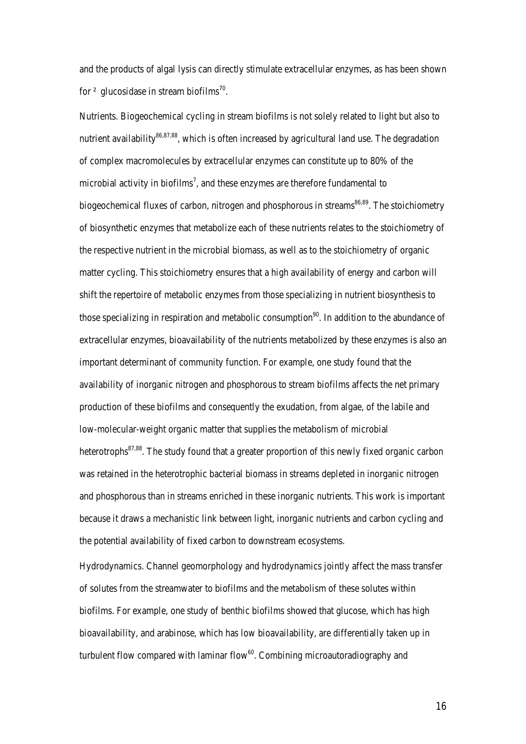and the products of algal lysis can directly stimulate extracellular enzymes, as has been shown for  $\alpha$  glucosidase in stream biofilms<sup>70</sup>.

Nutrients. Biogeochemical cycling in stream biofilms is not solely related to light but also to nutrient availability $86,87,88$ , which is often increased by agricultural land use. The degradation of complex macromolecules by extracellular enzymes can constitute up to 80% of the microbial activity in biofilms<sup>7</sup>, and these enzymes are therefore fundamental to biogeochemical fluxes of carbon, nitrogen and phosphorous in streams<sup>86,89</sup>. The stoichiometry of biosynthetic enzymes that metabolize each of these nutrients relates to the stoichiometry of the respective nutrient in the microbial biomass, as well as to the stoichiometry of organic matter cycling. This stoichiometry ensures that a high availability of energy and carbon will shift the repertoire of metabolic enzymes from those specializing in nutrient biosynthesis to those specializing in respiration and metabolic consumption<sup>90</sup>. In addition to the abundance of extracellular enzymes, bioavailability of the nutrients metabolized by these enzymes is also an important determinant of community function. For example, one study found that the availability of inorganic nitrogen and phosphorous to stream biofilms affects the net primary production of these biofilms and consequently the exudation, from algae, of the labile and low-molecular-weight organic matter that supplies the metabolism of microbial heterotrophs<sup>87,88</sup>. The study found that a greater proportion of this newly fixed organic carbon was retained in the heterotrophic bacterial biomass in streams depleted in inorganic nitrogen and phosphorous than in streams enriched in these inorganic nutrients. This work is important because it draws a mechanistic link between light, inorganic nutrients and carbon cycling and the potential availability of fixed carbon to downstream ecosystems.

Hydrodynamics. Channel geomorphology and hydrodynamics jointly affect the mass transfer of solutes from the streamwater to biofilms and the metabolism of these solutes within biofilms. For example, one study of benthic biofilms showed that glucose, which has high bioavailability, and arabinose, which has low bioavailability, are differentially taken up in turbulent flow compared with laminar flow $60$ . Combining microautoradiography and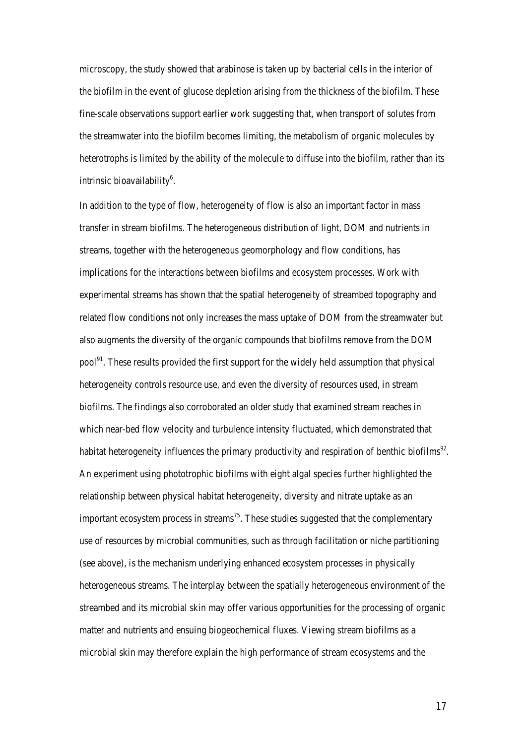microscopy, the study showed that arabinose is taken up by bacterial cells in the interior of the biofilm in the event of glucose depletion arising from the thickness of the biofilm. These fine-scale observations support earlier work suggesting that, when transport of solutes from the streamwater into the biofilm becomes limiting, the metabolism of organic molecules by heterotrophs is limited by the ability of the molecule to diffuse into the biofilm, rather than its intrinsic bioavailability<sup>6</sup>.

In addition to the type of flow, heterogeneity of flow is also an important factor in mass transfer in stream biofilms. The heterogeneous distribution of light, DOM and nutrients in streams, together with the heterogeneous geomorphology and flow conditions, has implications for the interactions between biofilms and ecosystem processes. Work with experimental streams has shown that the spatial heterogeneity of streambed topography and related flow conditions not only increases the mass uptake of DOM from the streamwater but also augments the diversity of the organic compounds that biofilms remove from the DOM pool<sup>91</sup>. These results provided the first support for the widely held assumption that physical heterogeneity controls resource use, and even the diversity of resources used, in stream biofilms. The findings also corroborated an older study that examined stream reaches in which near-bed flow velocity and turbulence intensity fluctuated, which demonstrated that habitat heterogeneity influences the primary productivity and respiration of benthic biofilms<sup>92</sup>. An experiment using phototrophic biofilms with eight algal species further highlighted the relationship between physical habitat heterogeneity, diversity and nitrate uptake as an important ecosystem process in streams<sup>75</sup>. These studies suggested that the complementary use of resources by microbial communities, such as through facilitation or niche partitioning (see above), is the mechanism underlying enhanced ecosystem processes in physically heterogeneous streams. The interplay between the spatially heterogeneous environment of the streambed and its microbial skin may offer various opportunities for the processing of organic matter and nutrients and ensuing biogeochemical fluxes. Viewing stream biofilms as a microbial skin may therefore explain the high performance of stream ecosystems and the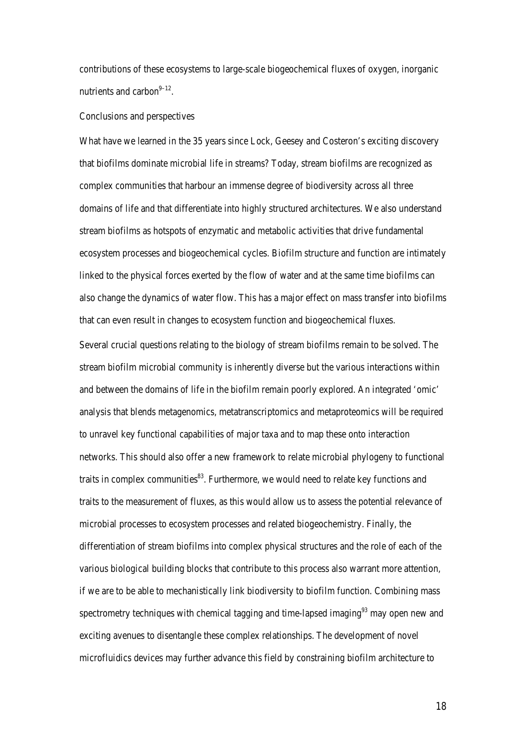contributions of these ecosystems to large-scale biogeochemical fluxes of oxygen, inorganic nutrients and carbon $9-12$ .

#### Conclusions and perspectives

What have we learned in the 35 years since Lock, Geesey and Costeron's exciting discovery that biofilms dominate microbial life in streams? Today, stream biofilms are recognized as complex communities that harbour an immense degree of biodiversity across all three domains of life and that differentiate into highly structured architectures. We also understand stream biofilms as hotspots of enzymatic and metabolic activities that drive fundamental ecosystem processes and biogeochemical cycles. Biofilm structure and function are intimately linked to the physical forces exerted by the flow of water and at the same time biofilms can also change the dynamics of water flow. This has a major effect on mass transfer into biofilms that can even result in changes to ecosystem function and biogeochemical fluxes.

Several crucial questions relating to the biology of stream biofilms remain to be solved. The stream biofilm microbial community is inherently diverse but the various interactions within and between the domains of life in the biofilm remain poorly explored. An integrated 'omic' analysis that blends metagenomics, metatranscriptomics and metaproteomics will be required to unravel key functional capabilities of major taxa and to map these onto interaction networks. This should also offer a new framework to relate microbial phylogeny to functional traits in complex communities $^{83}$ . Furthermore, we would need to relate key functions and traits to the measurement of fluxes, as this would allow us to assess the potential relevance of microbial processes to ecosystem processes and related biogeochemistry. Finally, the differentiation of stream biofilms into complex physical structures and the role of each of the various biological building blocks that contribute to this process also warrant more attention, if we are to be able to mechanistically link biodiversity to biofilm function. Combining mass spectrometry techniques with chemical tagging and time-lapsed imaging<sup>93</sup> may open new and exciting avenues to disentangle these complex relationships. The development of novel microfluidics devices may further advance this field by constraining biofilm architecture to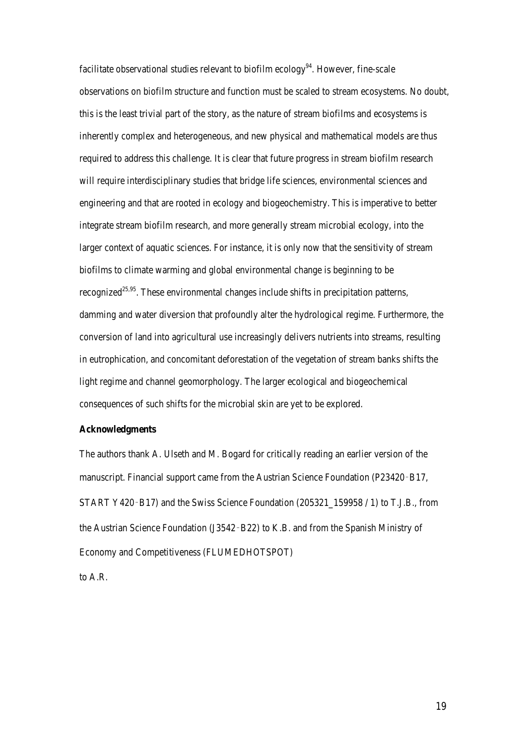facilitate observational studies relevant to biofilm ecology<sup>94</sup>. However, fine-scale observations on biofilm structure and function must be scaled to stream ecosystems. No doubt, this is the least trivial part of the story, as the nature of stream biofilms and ecosystems is inherently complex and heterogeneous, and new physical and mathematical models are thus required to address this challenge. It is clear that future progress in stream biofilm research will require interdisciplinary studies that bridge life sciences, environmental sciences and engineering and that are rooted in ecology and biogeochemistry. This is imperative to better integrate stream biofilm research, and more generally stream microbial ecology, into the larger context of aquatic sciences. For instance, it is only now that the sensitivity of stream biofilms to climate warming and global environmental change is beginning to be recognized<sup>25,95</sup>. These environmental changes include shifts in precipitation patterns, damming and water diversion that profoundly alter the hydrological regime. Furthermore, the conversion of land into agricultural use increasingly delivers nutrients into streams, resulting in eutrophication, and concomitant deforestation of the vegetation of stream banks shifts the light regime and channel geomorphology. The larger ecological and biogeochemical consequences of such shifts for the microbial skin are yet to be explored.

## **Acknowledgments**

The authors thank A. Ulseth and M. Bogard for critically reading an earlier version of the manuscript. Financial support came from the Austrian Science Foundation (P23420-B17, START Y420–B17) and the Swiss Science Foundation (205321 159958 / 1) to T.J.B., from the Austrian Science Foundation (J3542‑B22) to K.B. and from the Spanish Ministry of Economy and Competitiveness (FLUMEDHOTSPOT)

to A.R.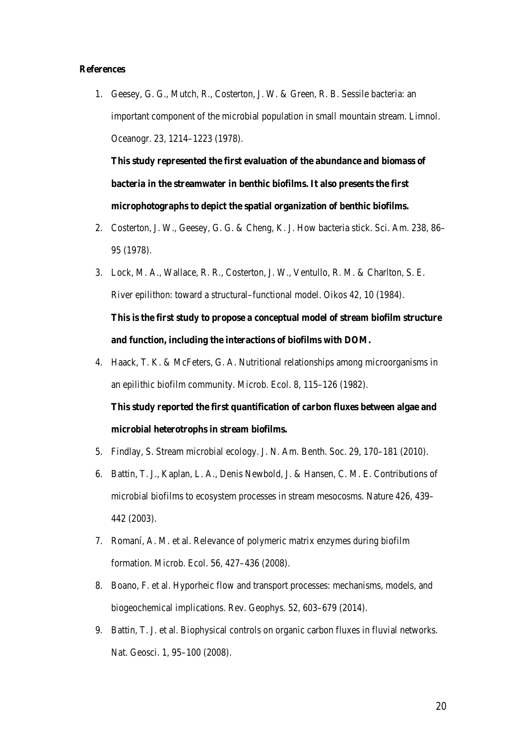#### **References**

1. Geesey, G. G., Mutch, R., Costerton, J. W. & Green, R. B. Sessile bacteria: an important component of the microbial population in small mountain stream. Limnol. Oceanogr. 23, 1214–1223 (1978).

**This study represented the first evaluation of the abundance and biomass of bacteria in the streamwater in benthic biofilms. It also presents the first microphotographs to depict the spatial organization of benthic biofilms.** 

- 2. Costerton, J. W., Geesey, G. G. & Cheng, K. J. How bacteria stick. Sci. Am. 238, 86– 95 (1978).
- 3. Lock, M. A., Wallace, R. R., Costerton, J. W., Ventullo, R. M. & Charlton, S. E. River epilithon: toward a structural–functional model. Oikos 42, 10 (1984). **This is the first study to propose a conceptual model of stream biofilm structure and function, including the interactions of biofilms with DOM.**
- 4. Haack, T. K. & McFeters, G. A. Nutritional relationships among microorganisms in an epilithic biofilm community. Microb. Ecol. 8, 115–126 (1982).

**This study reported the first quantification of carbon fluxes between algae and microbial heterotrophs in stream biofilms.** 

- 5. Findlay, S. Stream microbial ecology. J. N. Am. Benth. Soc. 29, 170–181 (2010).
- 6. Battin, T. J., Kaplan, L. A., Denis Newbold, J. & Hansen, C. M. E. Contributions of microbial biofilms to ecosystem processes in stream mesocosms. Nature 426, 439– 442 (2003).
- 7. Romaní, A. M. et al. Relevance of polymeric matrix enzymes during biofilm formation. Microb. Ecol. 56, 427–436 (2008).
- 8. Boano, F. et al. Hyporheic flow and transport processes: mechanisms, models, and biogeochemical implications. Rev. Geophys. 52, 603–679 (2014).
- 9. Battin, T. J. et al. Biophysical controls on organic carbon fluxes in fluvial networks. Nat. Geosci. 1, 95–100 (2008).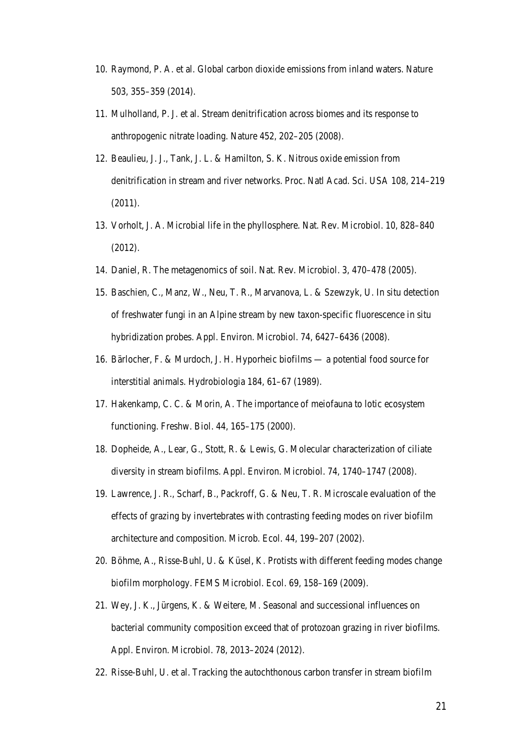- 10. Raymond, P. A. et al. Global carbon dioxide emissions from inland waters. Nature 503, 355–359 (2014).
- 11. Mulholland, P. J. et al. Stream denitrification across biomes and its response to anthropogenic nitrate loading. Nature 452, 202–205 (2008).
- 12. Beaulieu, J. J., Tank, J. L. & Hamilton, S. K. Nitrous oxide emission from denitrification in stream and river networks. Proc. Natl Acad. Sci. USA 108, 214–219 (2011).
- 13. Vorholt, J. A. Microbial life in the phyllosphere. Nat. Rev. Microbiol. 10, 828–840 (2012).
- 14. Daniel, R. The metagenomics of soil. Nat. Rev. Microbiol. 3, 470–478 (2005).
- 15. Baschien, C., Manz, W., Neu, T. R., Marvanova, L. & Szewzyk, U. In situ detection of freshwater fungi in an Alpine stream by new taxon-specific fluorescence in situ hybridization probes. Appl. Environ. Microbiol. 74, 6427–6436 (2008).
- 16. Bärlocher, F. & Murdoch, J. H. Hyporheic biofilms a potential food source for interstitial animals. Hydrobiologia 184, 61–67 (1989).
- 17. Hakenkamp, C. C. & Morin, A. The importance of meiofauna to lotic ecosystem functioning. Freshw. Biol. 44, 165–175 (2000).
- 18. Dopheide, A., Lear, G., Stott, R. & Lewis, G. Molecular characterization of ciliate diversity in stream biofilms. Appl. Environ. Microbiol. 74, 1740–1747 (2008).
- 19. Lawrence, J. R., Scharf, B., Packroff, G. & Neu, T. R. Microscale evaluation of the effects of grazing by invertebrates with contrasting feeding modes on river biofilm architecture and composition. Microb. Ecol. 44, 199–207 (2002).
- 20. Böhme, A., Risse-Buhl, U. & Küsel, K. Protists with different feeding modes change biofilm morphology. FEMS Microbiol. Ecol. 69, 158–169 (2009).
- 21. Wey, J. K., Jürgens, K. & Weitere, M. Seasonal and successional influences on bacterial community composition exceed that of protozoan grazing in river biofilms. Appl. Environ. Microbiol. 78, 2013–2024 (2012).
- 22. Risse-Buhl, U. et al. Tracking the autochthonous carbon transfer in stream biofilm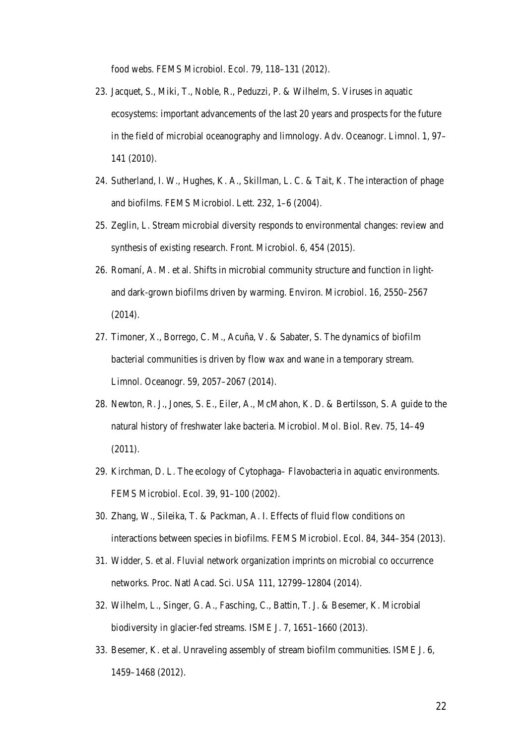food webs. FEMS Microbiol. Ecol. 79, 118–131 (2012).

- 23. Jacquet, S., Miki, T., Noble, R., Peduzzi, P. & Wilhelm, S. Viruses in aquatic ecosystems: important advancements of the last 20 years and prospects for the future in the field of microbial oceanography and limnology. Adv. Oceanogr. Limnol. 1, 97– 141 (2010).
- 24. Sutherland, I. W., Hughes, K. A., Skillman, L. C. & Tait, K. The interaction of phage and biofilms. FEMS Microbiol. Lett. 232, 1–6 (2004).
- 25. Zeglin, L. Stream microbial diversity responds to environmental changes: review and synthesis of existing research. Front. Microbiol. 6, 454 (2015).
- 26. Romaní, A. M. et al. Shifts in microbial community structure and function in lightand dark-grown biofilms driven by warming. Environ. Microbiol. 16, 2550–2567 (2014).
- 27. Timoner, X., Borrego, C. M., Acuña, V. & Sabater, S. The dynamics of biofilm bacterial communities is driven by flow wax and wane in a temporary stream. Limnol. Oceanogr. 59, 2057–2067 (2014).
- 28. Newton, R. J., Jones, S. E., Eiler, A., McMahon, K. D. & Bertilsson, S. A guide to the natural history of freshwater lake bacteria. Microbiol. Mol. Biol. Rev. 75, 14–49 (2011).
- 29. Kirchman, D. L. The ecology of Cytophaga– Flavobacteria in aquatic environments. FEMS Microbiol. Ecol. 39, 91–100 (2002).
- 30. Zhang, W., Sileika, T. & Packman, A. I. Effects of fluid flow conditions on interactions between species in biofilms. FEMS Microbiol. Ecol. 84, 344–354 (2013).
- 31. Widder, S. et al. Fluvial network organization imprints on microbial co occurrence networks. Proc. Natl Acad. Sci. USA 111, 12799–12804 (2014).
- 32. Wilhelm, L., Singer, G. A., Fasching, C., Battin, T. J. & Besemer, K. Microbial biodiversity in glacier-fed streams. ISME J. 7, 1651–1660 (2013).
- 33. Besemer, K. et al. Unraveling assembly of stream biofilm communities. ISME J. 6, 1459–1468 (2012).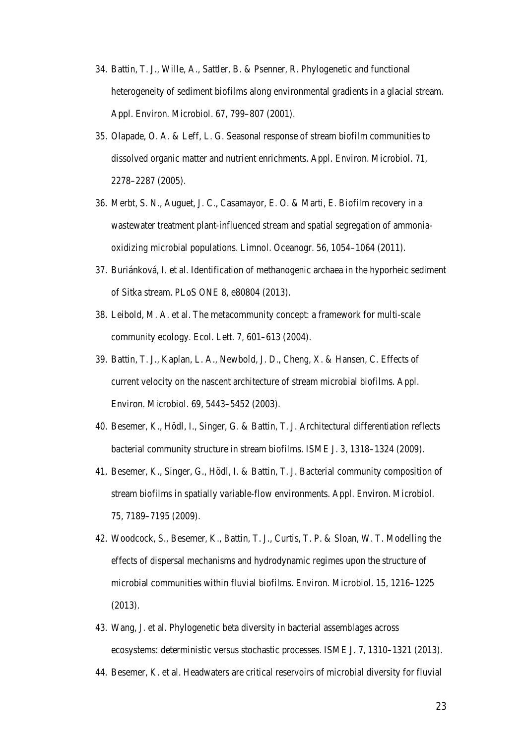- 34. Battin, T. J., Wille, A., Sattler, B. & Psenner, R. Phylogenetic and functional heterogeneity of sediment biofilms along environmental gradients in a glacial stream. Appl. Environ. Microbiol. 67, 799–807 (2001).
- 35. Olapade, O. A. & Leff, L. G. Seasonal response of stream biofilm communities to dissolved organic matter and nutrient enrichments. Appl. Environ. Microbiol. 71, 2278–2287 (2005).
- 36. Merbt, S. N., Auguet, J. C., Casamayor, E. O. & Marti, E. Biofilm recovery in a wastewater treatment plant-influenced stream and spatial segregation of ammoniaoxidizing microbial populations. Limnol. Oceanogr. 56, 1054–1064 (2011).
- 37. Buriánková, I. et al. Identification of methanogenic archaea in the hyporheic sediment of Sitka stream. PLoS ONE 8, e80804 (2013).
- 38. Leibold, M. A. et al. The metacommunity concept: a framework for multi-scale community ecology. Ecol. Lett. 7, 601–613 (2004).
- 39. Battin, T. J., Kaplan, L. A., Newbold, J. D., Cheng, X. & Hansen, C. Effects of current velocity on the nascent architecture of stream microbial biofilms. Appl. Environ. Microbiol. 69, 5443–5452 (2003).
- 40. Besemer, K., Hödl, I., Singer, G. & Battin, T. J. Architectural differentiation reflects bacterial community structure in stream biofilms. ISME J. 3, 1318–1324 (2009).
- 41. Besemer, K., Singer, G., Hödl, I. & Battin, T. J. Bacterial community composition of stream biofilms in spatially variable-flow environments. Appl. Environ. Microbiol. 75, 7189–7195 (2009).
- 42. Woodcock, S., Besemer, K., Battin, T. J., Curtis, T. P. & Sloan, W. T. Modelling the effects of dispersal mechanisms and hydrodynamic regimes upon the structure of microbial communities within fluvial biofilms. Environ. Microbiol. 15, 1216–1225 (2013).
- 43. Wang, J. et al. Phylogenetic beta diversity in bacterial assemblages across ecosystems: deterministic versus stochastic processes. ISME J. 7, 1310–1321 (2013).
- 44. Besemer, K. et al. Headwaters are critical reservoirs of microbial diversity for fluvial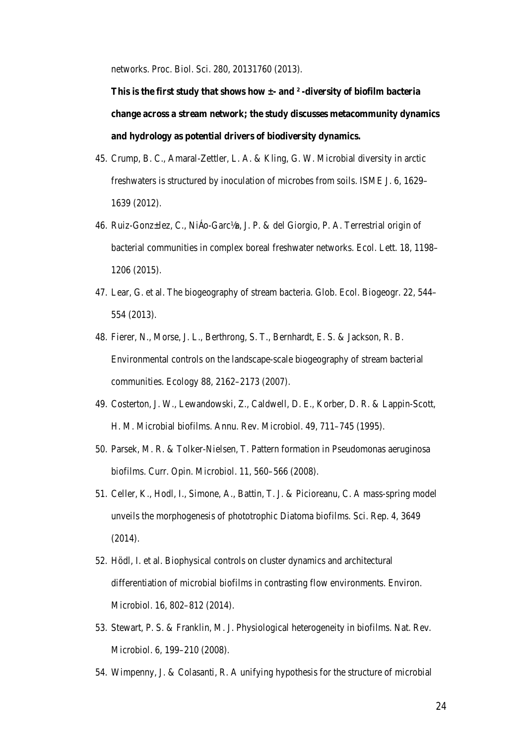networks. Proc. Biol. Sci. 280, 20131760 (2013).

**This is the first study that shows how ±- and ² -diversity of biofilm bacteria change across a stream network; the study discusses metacommunity dynamics and hydrology as potential drivers of biodiversity dynamics.** 

- 45. Crump, B. C., Amaral-Zettler, L. A. & Kling, G. W. Microbial diversity in arctic freshwaters is structured by inoculation of microbes from soils. ISME J. 6, 1629– 1639 (2012).
- 46. Ruiz-Gonz±lez, C., NiÁo-Garc½a, J. P. & del Giorgio, P. A. Terrestrial origin of bacterial communities in complex boreal freshwater networks. Ecol. Lett. 18, 1198– 1206 (2015).
- 47. Lear, G. et al. The biogeography of stream bacteria. Glob. Ecol. Biogeogr. 22, 544– 554 (2013).
- 48. Fierer, N., Morse, J. L., Berthrong, S. T., Bernhardt, E. S. & Jackson, R. B. Environmental controls on the landscape-scale biogeography of stream bacterial communities. Ecology 88, 2162–2173 (2007).
- 49. Costerton, J. W., Lewandowski, Z., Caldwell, D. E., Korber, D. R. & Lappin-Scott, H. M. Microbial biofilms. Annu. Rev. Microbiol. 49, 711–745 (1995).
- 50. Parsek, M. R. & Tolker-Nielsen, T. Pattern formation in Pseudomonas aeruginosa biofilms. Curr. Opin. Microbiol. 11, 560–566 (2008).
- 51. Celler, K., Hodl, I., Simone, A., Battin, T. J. & Picioreanu, C. A mass-spring model unveils the morphogenesis of phototrophic Diatoma biofilms. Sci. Rep. 4, 3649 (2014).
- 52. Hödl, I. et al. Biophysical controls on cluster dynamics and architectural differentiation of microbial biofilms in contrasting flow environments. Environ. Microbiol. 16, 802–812 (2014).
- 53. Stewart, P. S. & Franklin, M. J. Physiological heterogeneity in biofilms. Nat. Rev. Microbiol. 6, 199–210 (2008).
- 54. Wimpenny, J. & Colasanti, R. A unifying hypothesis for the structure of microbial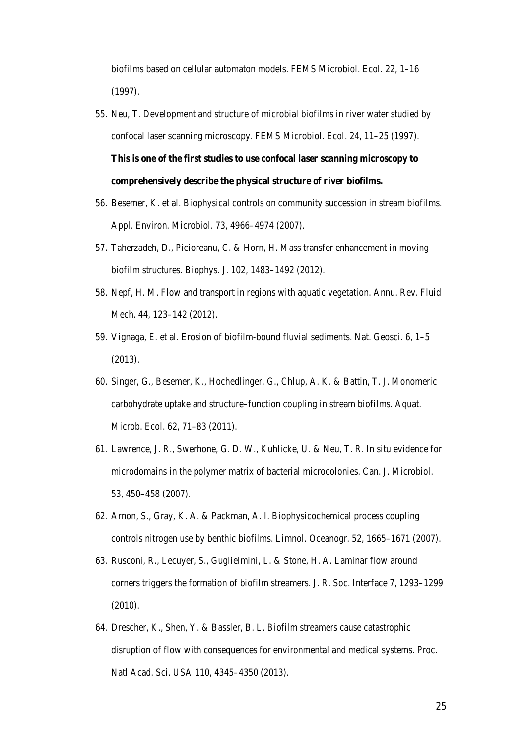biofilms based on cellular automaton models. FEMS Microbiol. Ecol. 22, 1–16 (1997).

- 55. Neu, T. Development and structure of microbial biofilms in river water studied by confocal laser scanning microscopy. FEMS Microbiol. Ecol. 24, 11–25 (1997). **This is one of the first studies to use confocal laser scanning microscopy to comprehensively describe the physical structure of river biofilms.**
- 56. Besemer, K. et al. Biophysical controls on community succession in stream biofilms. Appl. Environ. Microbiol. 73, 4966–4974 (2007).
- 57. Taherzadeh, D., Picioreanu, C. & Horn, H. Mass transfer enhancement in moving biofilm structures. Biophys. J. 102, 1483–1492 (2012).
- 58. Nepf, H. M. Flow and transport in regions with aquatic vegetation. Annu. Rev. Fluid Mech. 44, 123–142 (2012).
- 59. Vignaga, E. et al. Erosion of biofilm-bound fluvial sediments. Nat. Geosci. 6, 1–5 (2013).
- 60. Singer, G., Besemer, K., Hochedlinger, G., Chlup, A. K. & Battin, T. J. Monomeric carbohydrate uptake and structure–function coupling in stream biofilms. Aquat. Microb. Ecol. 62, 71–83 (2011).
- 61. Lawrence, J. R., Swerhone, G. D. W., Kuhlicke, U. & Neu, T. R. In situ evidence for microdomains in the polymer matrix of bacterial microcolonies. Can. J. Microbiol. 53, 450–458 (2007).
- 62. Arnon, S., Gray, K. A. & Packman, A. I. Biophysicochemical process coupling controls nitrogen use by benthic biofilms. Limnol. Oceanogr. 52, 1665–1671 (2007).
- 63. Rusconi, R., Lecuyer, S., Guglielmini, L. & Stone, H. A. Laminar flow around corners triggers the formation of biofilm streamers. J. R. Soc. Interface 7, 1293–1299 (2010).
- 64. Drescher, K., Shen, Y. & Bassler, B. L. Biofilm streamers cause catastrophic disruption of flow with consequences for environmental and medical systems. Proc. Natl Acad. Sci. USA 110, 4345–4350 (2013).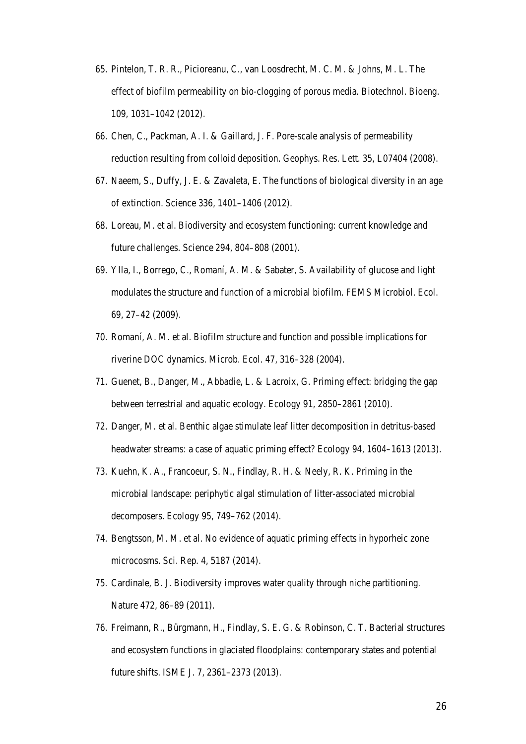- 65. Pintelon, T. R. R., Picioreanu, C., van Loosdrecht, M. C. M. & Johns, M. L. The effect of biofilm permeability on bio-clogging of porous media. Biotechnol. Bioeng. 109, 1031–1042 (2012).
- 66. Chen, C., Packman, A. I. & Gaillard, J. F. Pore-scale analysis of permeability reduction resulting from colloid deposition. Geophys. Res. Lett. 35, L07404 (2008).
- 67. Naeem, S., Duffy, J. E. & Zavaleta, E. The functions of biological diversity in an age of extinction. Science 336, 1401–1406 (2012).
- 68. Loreau, M. et al. Biodiversity and ecosystem functioning: current knowledge and future challenges. Science 294, 804–808 (2001).
- 69. Ylla, I., Borrego, C., Romaní, A. M. & Sabater, S. Availability of glucose and light modulates the structure and function of a microbial biofilm. FEMS Microbiol. Ecol. 69, 27–42 (2009).
- 70. Romaní, A. M. et al. Biofilm structure and function and possible implications for riverine DOC dynamics. Microb. Ecol. 47, 316–328 (2004).
- 71. Guenet, B., Danger, M., Abbadie, L. & Lacroix, G. Priming effect: bridging the gap between terrestrial and aquatic ecology. Ecology 91, 2850–2861 (2010).
- 72. Danger, M. et al. Benthic algae stimulate leaf litter decomposition in detritus-based headwater streams: a case of aquatic priming effect? Ecology 94, 1604–1613 (2013).
- 73. Kuehn, K. A., Francoeur, S. N., Findlay, R. H. & Neely, R. K. Priming in the microbial landscape: periphytic algal stimulation of litter-associated microbial decomposers. Ecology 95, 749–762 (2014).
- 74. Bengtsson, M. M. et al. No evidence of aquatic priming effects in hyporheic zone microcosms. Sci. Rep. 4, 5187 (2014).
- 75. Cardinale, B. J. Biodiversity improves water quality through niche partitioning. Nature 472, 86–89 (2011).
- 76. Freimann, R., Bürgmann, H., Findlay, S. E. G. & Robinson, C. T. Bacterial structures and ecosystem functions in glaciated floodplains: contemporary states and potential future shifts. ISME J. 7, 2361–2373 (2013).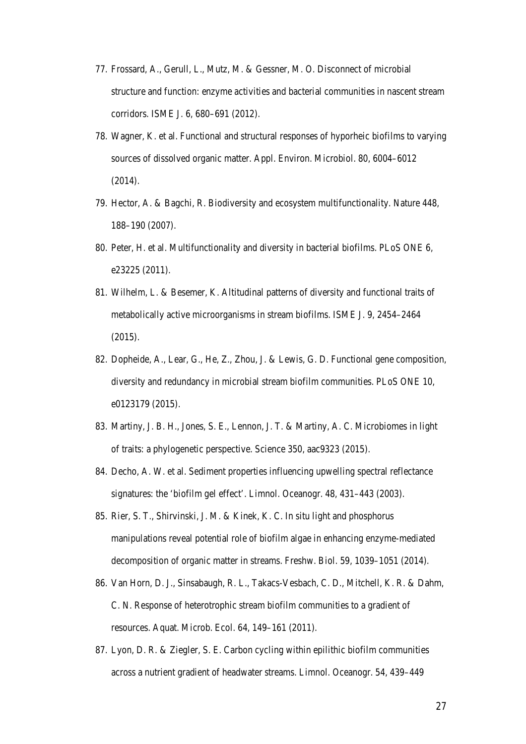- 77. Frossard, A., Gerull, L., Mutz, M. & Gessner, M. O. Disconnect of microbial structure and function: enzyme activities and bacterial communities in nascent stream corridors. ISME J. 6, 680–691 (2012).
- 78. Wagner, K. et al. Functional and structural responses of hyporheic biofilms to varying sources of dissolved organic matter. Appl. Environ. Microbiol. 80, 6004–6012 (2014).
- 79. Hector, A. & Bagchi, R. Biodiversity and ecosystem multifunctionality. Nature 448, 188–190 (2007).
- 80. Peter, H. et al. Multifunctionality and diversity in bacterial biofilms. PLoS ONE 6, e23225 (2011).
- 81. Wilhelm, L. & Besemer, K. Altitudinal patterns of diversity and functional traits of metabolically active microorganisms in stream biofilms. ISME J. 9, 2454–2464 (2015).
- 82. Dopheide, A., Lear, G., He, Z., Zhou, J. & Lewis, G. D. Functional gene composition, diversity and redundancy in microbial stream biofilm communities. PLoS ONE 10, e0123179 (2015).
- 83. Martiny, J. B. H., Jones, S. E., Lennon, J. T. & Martiny, A. C. Microbiomes in light of traits: a phylogenetic perspective. Science 350, aac9323 (2015).
- 84. Decho, A. W. et al. Sediment properties influencing upwelling spectral reflectance signatures: the 'biofilm gel effect'. Limnol. Oceanogr. 48, 431–443 (2003).
- 85. Rier, S. T., Shirvinski, J. M. & Kinek, K. C. In situ light and phosphorus manipulations reveal potential role of biofilm algae in enhancing enzyme-mediated decomposition of organic matter in streams. Freshw. Biol. 59, 1039–1051 (2014).
- 86. Van Horn, D. J., Sinsabaugh, R. L., Takacs-Vesbach, C. D., Mitchell, K. R. & Dahm, C. N. Response of heterotrophic stream biofilm communities to a gradient of resources. Aquat. Microb. Ecol. 64, 149–161 (2011).
- 87. Lyon, D. R. & Ziegler, S. E. Carbon cycling within epilithic biofilm communities across a nutrient gradient of headwater streams. Limnol. Oceanogr. 54, 439–449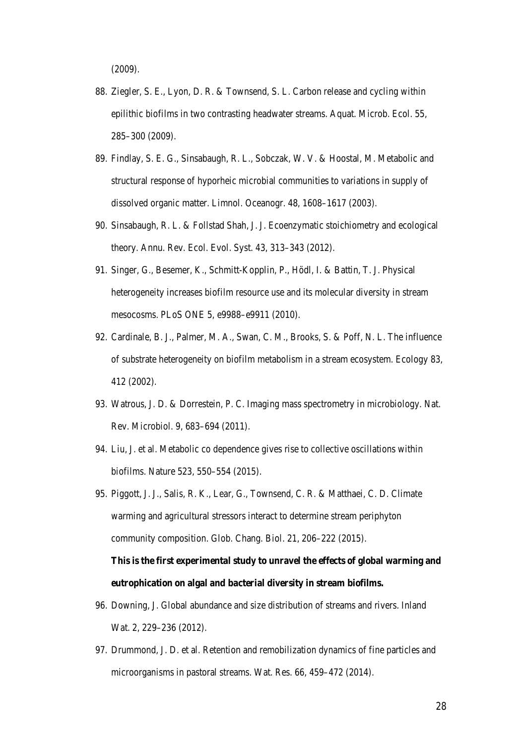(2009).

- 88. Ziegler, S. E., Lyon, D. R. & Townsend, S. L. Carbon release and cycling within epilithic biofilms in two contrasting headwater streams. Aquat. Microb. Ecol. 55, 285–300 (2009).
- 89. Findlay, S. E. G., Sinsabaugh, R. L., Sobczak, W. V. & Hoostal, M. Metabolic and structural response of hyporheic microbial communities to variations in supply of dissolved organic matter. Limnol. Oceanogr. 48, 1608–1617 (2003).
- 90. Sinsabaugh, R. L. & Follstad Shah, J. J. Ecoenzymatic stoichiometry and ecological theory. Annu. Rev. Ecol. Evol. Syst. 43, 313–343 (2012).
- 91. Singer, G., Besemer, K., Schmitt-Kopplin, P., Hödl, I. & Battin, T. J. Physical heterogeneity increases biofilm resource use and its molecular diversity in stream mesocosms. PLoS ONE 5, e9988–e9911 (2010).
- 92. Cardinale, B. J., Palmer, M. A., Swan, C. M., Brooks, S. & Poff, N. L. The influence of substrate heterogeneity on biofilm metabolism in a stream ecosystem. Ecology 83, 412 (2002).
- 93. Watrous, J. D. & Dorrestein, P. C. Imaging mass spectrometry in microbiology. Nat. Rev. Microbiol. 9, 683–694 (2011).
- 94. Liu, J. et al. Metabolic co dependence gives rise to collective oscillations within biofilms. Nature 523, 550–554 (2015).
- 95. Piggott, J. J., Salis, R. K., Lear, G., Townsend, C. R. & Matthaei, C. D. Climate warming and agricultural stressors interact to determine stream periphyton community composition. Glob. Chang. Biol. 21, 206–222 (2015). **This is the first experimental study to unravel the effects of global warming and eutrophication on algal and bacterial diversity in stream biofilms.**
- 96. Downing, J. Global abundance and size distribution of streams and rivers. Inland Wat. 2, 229–236 (2012).
- 97. Drummond, J. D. et al. Retention and remobilization dynamics of fine particles and microorganisms in pastoral streams. Wat. Res. 66, 459–472 (2014).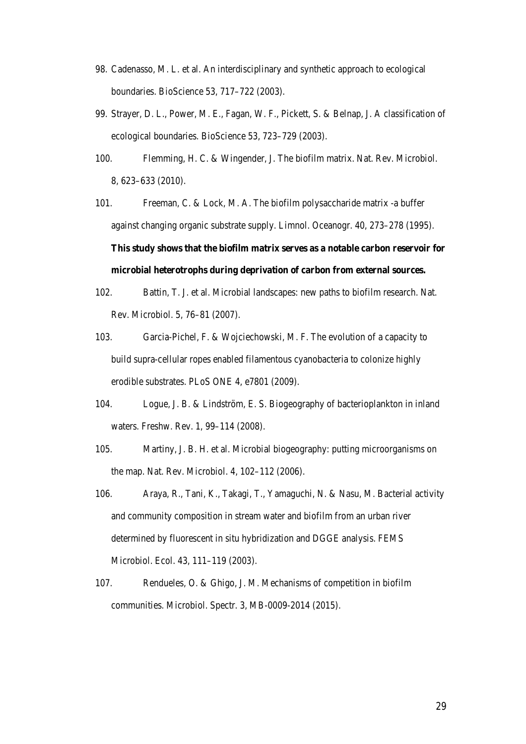- 98. Cadenasso, M. L. et al. An interdisciplinary and synthetic approach to ecological boundaries. BioScience 53, 717–722 (2003).
- 99. Strayer, D. L., Power, M. E., Fagan, W. F., Pickett, S. & Belnap, J. A classification of ecological boundaries. BioScience 53, 723–729 (2003).
- 100. Flemming, H. C. & Wingender, J. The biofilm matrix. Nat. Rev. Microbiol. 8, 623–633 (2010).
- 101. Freeman, C. & Lock, M. A. The biofilm polysaccharide matrix -a buffer against changing organic substrate supply. Limnol. Oceanogr. 40, 273–278 (1995). **This study shows that the biofilm matrix serves as a notable carbon reservoir for microbial heterotrophs during deprivation of carbon from external sources.**
- 102. Battin, T. J. et al. Microbial landscapes: new paths to biofilm research. Nat. Rev. Microbiol. 5, 76–81 (2007).
- 103. Garcia-Pichel, F. & Wojciechowski, M. F. The evolution of a capacity to build supra-cellular ropes enabled filamentous cyanobacteria to colonize highly erodible substrates. PLoS ONE 4, e7801 (2009).
- 104. Logue, J. B. & Lindström, E. S. Biogeography of bacterioplankton in inland waters. Freshw. Rev. 1, 99–114 (2008).
- 105. Martiny, J. B. H. et al. Microbial biogeography: putting microorganisms on the map. Nat. Rev. Microbiol. 4, 102–112 (2006).
- 106. Araya, R., Tani, K., Takagi, T., Yamaguchi, N. & Nasu, M. Bacterial activity and community composition in stream water and biofilm from an urban river determined by fluorescent in situ hybridization and DGGE analysis. FEMS Microbiol. Ecol. 43, 111–119 (2003).
- 107. Rendueles, O. & Ghigo, J. M. Mechanisms of competition in biofilm communities. Microbiol. Spectr. 3, MB-0009-2014 (2015).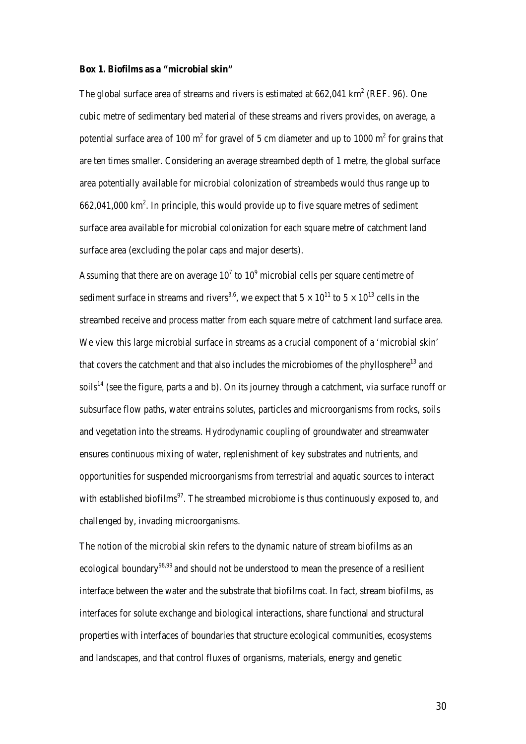#### **Box 1. Biofilms as a "microbial skin"**

The global surface area of streams and rivers is estimated at  $662,041 \text{ km}^2$  (REF. 96). One cubic metre of sedimentary bed material of these streams and rivers provides, on average, a potential surface area of 100  $m<sup>2</sup>$  for gravel of 5 cm diameter and up to 1000  $m<sup>2</sup>$  for grains that are ten times smaller. Considering an average streambed depth of 1 metre, the global surface area potentially available for microbial colonization of streambeds would thus range up to  $662,041,000 \text{ km}^2$ . In principle, this would provide up to five square metres of sediment surface area available for microbial colonization for each square metre of catchment land surface area (excluding the polar caps and major deserts).

Assuming that there are on average  $10^7$  to  $10^9$  microbial cells per square centimetre of sediment surface in streams and rivers<sup>3,6</sup>, we expect that  $5 \times 10^{11}$  to  $5 \times 10^{13}$  cells in the streambed receive and process matter from each square metre of catchment land surface area. We view this large microbial surface in streams as a crucial component of a 'microbial skin' that covers the catchment and that also includes the microbiomes of the phyllosphere<sup>13</sup> and soils<sup>14</sup> (see the figure, parts a and b). On its journey through a catchment, via surface runoff or subsurface flow paths, water entrains solutes, particles and microorganisms from rocks, soils and vegetation into the streams. Hydrodynamic coupling of groundwater and streamwater ensures continuous mixing of water, replenishment of key substrates and nutrients, and opportunities for suspended microorganisms from terrestrial and aquatic sources to interact with established biofilms<sup>97</sup>. The streambed microbiome is thus continuously exposed to, and challenged by, invading microorganisms.

The notion of the microbial skin refers to the dynamic nature of stream biofilms as an ecological boundary<sup>98,99</sup> and should not be understood to mean the presence of a resilient interface between the water and the substrate that biofilms coat. In fact, stream biofilms, as interfaces for solute exchange and biological interactions, share functional and structural properties with interfaces of boundaries that structure ecological communities, ecosystems and landscapes, and that control fluxes of organisms, materials, energy and genetic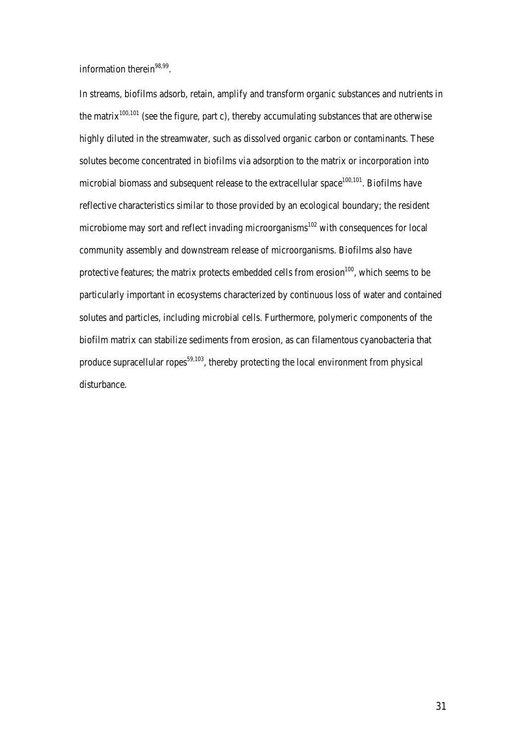information therein $98,99$ .

In streams, biofilms adsorb, retain, amplify and transform organic substances and nutrients in the matrix<sup>100,101</sup> (see the figure, part c), thereby accumulating substances that are otherwise highly diluted in the streamwater, such as dissolved organic carbon or contaminants. These solutes become concentrated in biofilms via adsorption to the matrix or incorporation into microbial biomass and subsequent release to the extracellular space<sup>100,101</sup>. Biofilms have reflective characteristics similar to those provided by an ecological boundary; the resident microbiome may sort and reflect invading microorganisms $^{102}$  with consequences for local community assembly and downstream release of microorganisms. Biofilms also have protective features; the matrix protects embedded cells from erosion $100$ , which seems to be particularly important in ecosystems characterized by continuous loss of water and contained solutes and particles, including microbial cells. Furthermore, polymeric components of the biofilm matrix can stabilize sediments from erosion, as can filamentous cyanobacteria that produce supracellular ropes $59,103$ , thereby protecting the local environment from physical disturbance.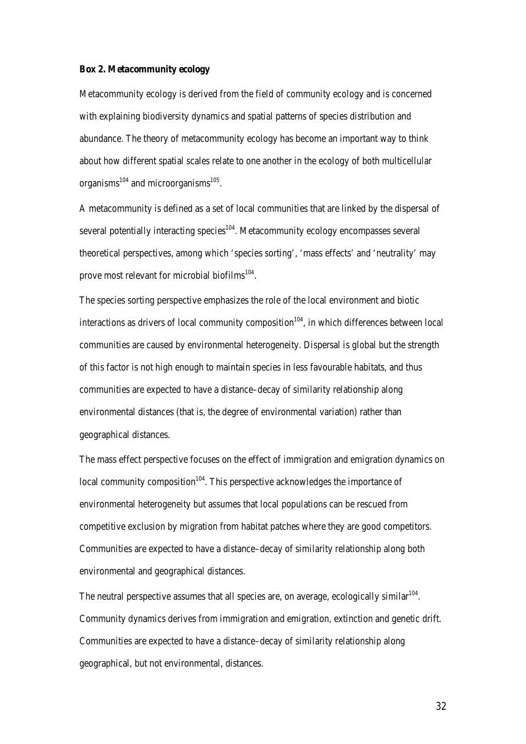#### **Box 2. Metacommunity ecology**

Metacommunity ecology is derived from the field of community ecology and is concerned with explaining biodiversity dynamics and spatial patterns of species distribution and abundance. The theory of metacommunity ecology has become an important way to think about how different spatial scales relate to one another in the ecology of both multicellular organisms $^{104}$  and microorganisms $^{105}$ .

A metacommunity is defined as a set of local communities that are linked by the dispersal of several potentially interacting species $104$ . Metacommunity ecology encompasses several theoretical perspectives, among which 'species sorting', 'mass effects' and 'neutrality' may prove most relevant for microbial biofilms<sup>104</sup>.

The species sorting perspective emphasizes the role of the local environment and biotic interactions as drivers of local community composition<sup>104</sup>, in which differences between local communities are caused by environmental heterogeneity. Dispersal is global but the strength of this factor is not high enough to maintain species in less favourable habitats, and thus communities are expected to have a distance–decay of similarity relationship along environmental distances (that is, the degree of environmental variation) rather than geographical distances.

The mass effect perspective focuses on the effect of immigration and emigration dynamics on local community composition<sup> $104$ </sup>. This perspective acknowledges the importance of environmental heterogeneity but assumes that local populations can be rescued from competitive exclusion by migration from habitat patches where they are good competitors. Communities are expected to have a distance–decay of similarity relationship along both environmental and geographical distances.

The neutral perspective assumes that all species are, on average, ecologically similar  $104$ . Community dynamics derives from immigration and emigration, extinction and genetic drift. Communities are expected to have a distance–decay of similarity relationship along geographical, but not environmental, distances.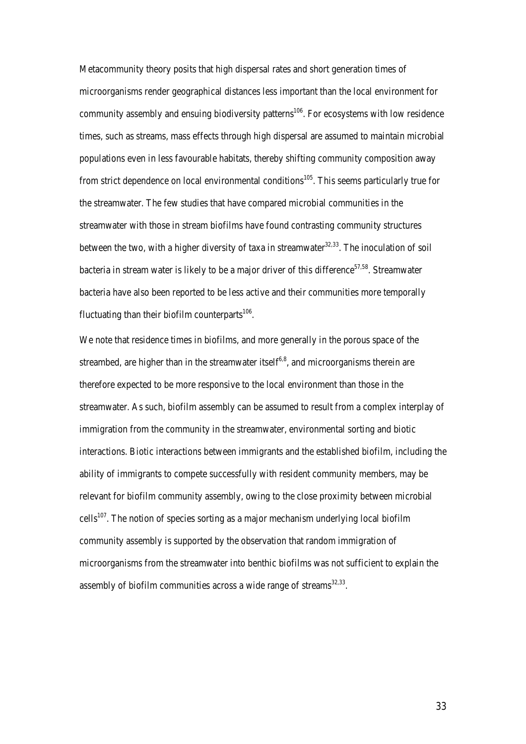Metacommunity theory posits that high dispersal rates and short generation times of microorganisms render geographical distances less important than the local environment for community assembly and ensuing biodiversity patterns<sup>106</sup>. For ecosystems with low residence times, such as streams, mass effects through high dispersal are assumed to maintain microbial populations even in less favourable habitats, thereby shifting community composition away from strict dependence on local environmental conditions<sup>105</sup>. This seems particularly true for the streamwater. The few studies that have compared microbial communities in the streamwater with those in stream biofilms have found contrasting community structures between the two, with a higher diversity of taxa in streamwater<sup>32,33</sup>. The inoculation of soil bacteria in stream water is likely to be a major driver of this difference<sup>57,58</sup>. Streamwater bacteria have also been reported to be less active and their communities more temporally fluctuating than their biofilm counterparts $^{106}$ .

We note that residence times in biofilms, and more generally in the porous space of the streambed, are higher than in the streamwater itself $6,8$ , and microorganisms therein are therefore expected to be more responsive to the local environment than those in the streamwater. As such, biofilm assembly can be assumed to result from a complex interplay of immigration from the community in the streamwater, environmental sorting and biotic interactions. Biotic interactions between immigrants and the established biofilm, including the ability of immigrants to compete successfully with resident community members, may be relevant for biofilm community assembly, owing to the close proximity between microbial  $\text{cells}^{107}$ . The notion of species sorting as a major mechanism underlying local biofilm community assembly is supported by the observation that random immigration of microorganisms from the streamwater into benthic biofilms was not sufficient to explain the assembly of biofilm communities across a wide range of streams $32,33$ .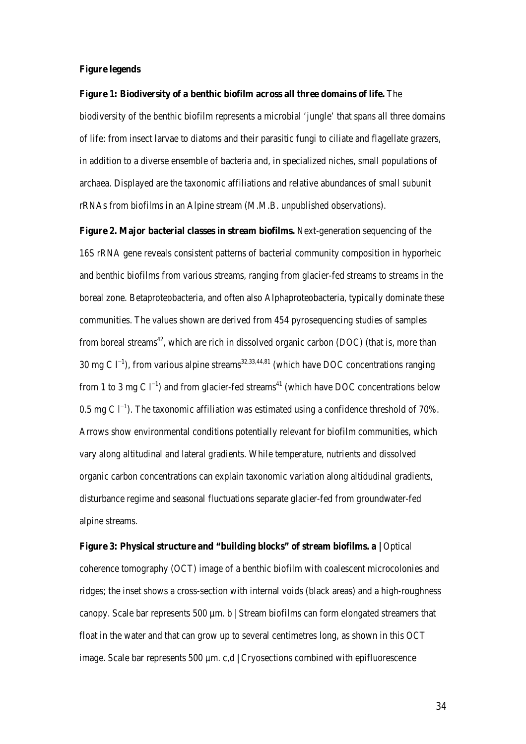#### **Figure legends**

#### **Figure 1: Biodiversity of a benthic biofilm across all three domains of life.** The

biodiversity of the benthic biofilm represents a microbial 'jungle' that spans all three domains of life: from insect larvae to diatoms and their parasitic fungi to ciliate and flagellate grazers, in addition to a diverse ensemble of bacteria and, in specialized niches, small populations of archaea. Displayed are the taxonomic affiliations and relative abundances of small subunit rRNAs from biofilms in an Alpine stream (M.M.B. unpublished observations).

**Figure 2. Major bacterial classes in stream biofilms.** Next-generation sequencing of the 16S rRNA gene reveals consistent patterns of bacterial community composition in hyporheic and benthic biofilms from various streams, ranging from glacier-fed streams to streams in the boreal zone. Betaproteobacteria, and often also Alphaproteobacteria, typically dominate these communities. The values shown are derived from 454 pyrosequencing studies of samples from boreal streams<sup>42</sup>, which are rich in dissolved organic carbon (DOC) (that is, more than 30 mg C  $l^{-1}$ ), from various alpine streams<sup>32,33,44,81</sup> (which have DOC concentrations ranging from 1 to 3 mg C  $\Gamma$ <sup>1</sup>) and from glacier-fed streams<sup>41</sup> (which have DOC concentrations below 0.5 mg C l<sup>-1</sup>). The taxonomic affiliation was estimated using a confidence threshold of 70%. Arrows show environmental conditions potentially relevant for biofilm communities, which vary along altitudinal and lateral gradients. While temperature, nutrients and dissolved organic carbon concentrations can explain taxonomic variation along altidudinal gradients, disturbance regime and seasonal fluctuations separate glacier-fed from groundwater-fed alpine streams.

# Figure 3: Physical structure and "building blocks" of stream biofilms. a | Optical coherence tomography (OCT) image of a benthic biofilm with coalescent microcolonies and ridges; the inset shows a cross-section with internal voids (black areas) and a high-roughness canopy. Scale bar represents 500 µm. b | Stream biofilms can form elongated streamers that float in the water and that can grow up to several centimetres long, as shown in this OCT image. Scale bar represents 500  $\mu$ m. c,d | Cryosections combined with epifluorescence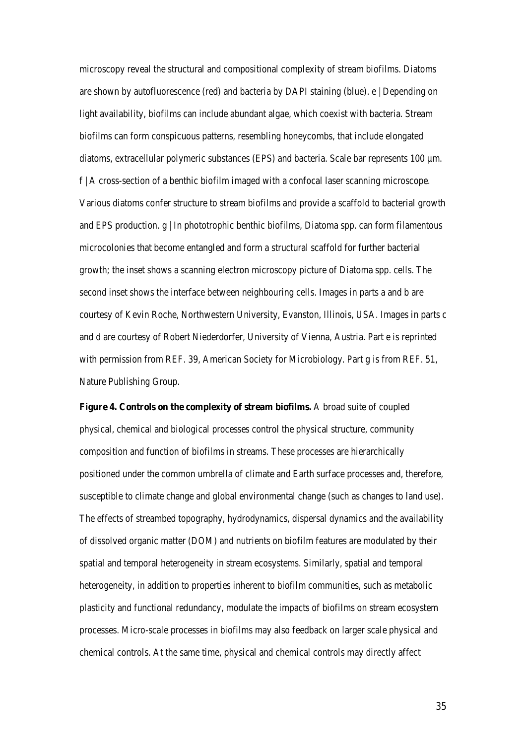microscopy reveal the structural and compositional complexity of stream biofilms. Diatoms are shown by autofluorescence (red) and bacteria by DAPI staining (blue). e | Depending on light availability, biofilms can include abundant algae, which coexist with bacteria. Stream biofilms can form conspicuous patterns, resembling honeycombs, that include elongated diatoms, extracellular polymeric substances (EPS) and bacteria. Scale bar represents 100  $\mu$ m. f | A cross-section of a benthic biofilm imaged with a confocal laser scanning microscope. Various diatoms confer structure to stream biofilms and provide a scaffold to bacterial growth and EPS production.  $g \mid$  In phototrophic benthic biofilms, Diatoma spp. can form filamentous microcolonies that become entangled and form a structural scaffold for further bacterial growth; the inset shows a scanning electron microscopy picture of Diatoma spp. cells. The second inset shows the interface between neighbouring cells. Images in parts a and b are courtesy of Kevin Roche, Northwestern University, Evanston, Illinois, USA. Images in parts c and d are courtesy of Robert Niederdorfer, University of Vienna, Austria. Part e is reprinted with permission from REF. 39, American Society for Microbiology. Part g is from REF. 51, Nature Publishing Group.

**Figure 4. Controls on the complexity of stream biofilms.** A broad suite of coupled physical, chemical and biological processes control the physical structure, community composition and function of biofilms in streams. These processes are hierarchically positioned under the common umbrella of climate and Earth surface processes and, therefore, susceptible to climate change and global environmental change (such as changes to land use). The effects of streambed topography, hydrodynamics, dispersal dynamics and the availability of dissolved organic matter (DOM) and nutrients on biofilm features are modulated by their spatial and temporal heterogeneity in stream ecosystems. Similarly, spatial and temporal heterogeneity, in addition to properties inherent to biofilm communities, such as metabolic plasticity and functional redundancy, modulate the impacts of biofilms on stream ecosystem processes. Micro-scale processes in biofilms may also feedback on larger scale physical and chemical controls. At the same time, physical and chemical controls may directly affect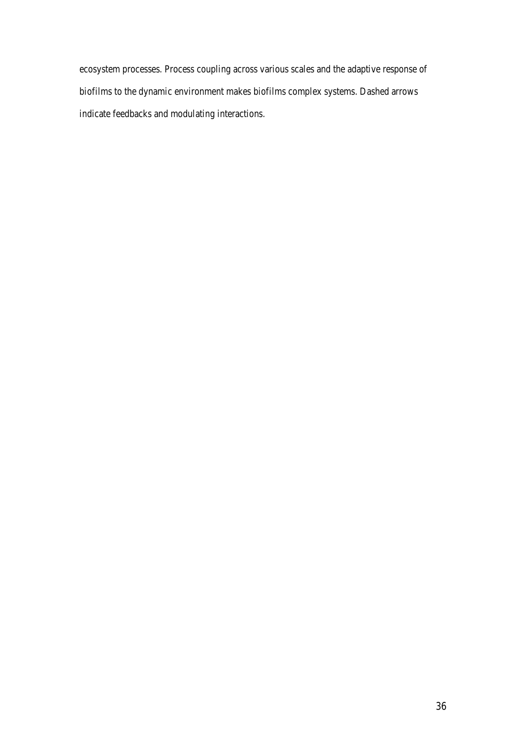ecosystem processes. Process coupling across various scales and the adaptive response of biofilms to the dynamic environment makes biofilms complex systems. Dashed arrows indicate feedbacks and modulating interactions.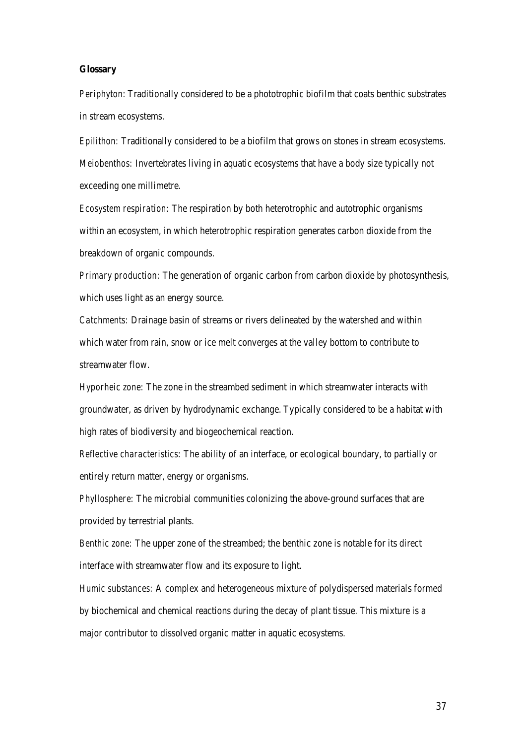#### **Glossary**

*Periphyton*: Traditionally considered to be a phototrophic biofilm that coats benthic substrates in stream ecosystems.

*Epilithon:* Traditionally considered to be a biofilm that grows on stones in stream ecosystems. *Meiobenthos:* Invertebrates living in aquatic ecosystems that have a body size typically not exceeding one millimetre.

*Ecosystem respiration:* The respiration by both heterotrophic and autotrophic organisms within an ecosystem, in which heterotrophic respiration generates carbon dioxide from the breakdown of organic compounds.

*Primary production:* The generation of organic carbon from carbon dioxide by photosynthesis, which uses light as an energy source.

*Catchments:* Drainage basin of streams or rivers delineated by the watershed and within which water from rain, snow or ice melt converges at the valley bottom to contribute to streamwater flow.

*Hyporheic zone:* The zone in the streambed sediment in which streamwater interacts with groundwater, as driven by hydrodynamic exchange. Typically considered to be a habitat with high rates of biodiversity and biogeochemical reaction.

*Reflective characteristics:* The ability of an interface, or ecological boundary, to partially or entirely return matter, energy or organisms.

*Phyllosphere:* The microbial communities colonizing the above-ground surfaces that are provided by terrestrial plants.

*Benthic zone:* The upper zone of the streambed; the benthic zone is notable for its direct interface with streamwater flow and its exposure to light.

*Humic substances:* A complex and heterogeneous mixture of polydispersed materials formed by biochemical and chemical reactions during the decay of plant tissue. This mixture is a major contributor to dissolved organic matter in aquatic ecosystems.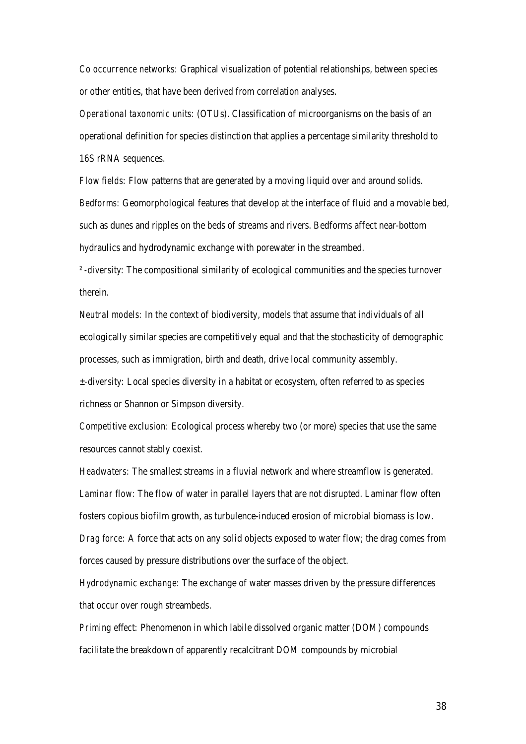*Co occurrence networks:* Graphical visualization of potential relationships, between species or other entities, that have been derived from correlation analyses.

*Operational taxonomic units:* (OTUs). Classification of microorganisms on the basis of an operational definition for species distinction that applies a percentage similarity threshold to 16S rRNA sequences.

*Flow fields:* Flow patterns that are generated by a moving liquid over and around solids. *Bedforms:* Geomorphological features that develop at the interface of fluid and a movable bed, such as dunes and ripples on the beds of streams and rivers. Bedforms affect near-bottom hydraulics and hydrodynamic exchange with porewater in the streambed.

*² -diversity:* The compositional similarity of ecological communities and the species turnover therein.

*Neutral models:* In the context of biodiversity, models that assume that individuals of all ecologically similar species are competitively equal and that the stochasticity of demographic processes, such as immigration, birth and death, drive local community assembly. *±-diversity:* Local species diversity in a habitat or ecosystem, often referred to as species richness or Shannon or Simpson diversity.

*Competitive exclusion:* Ecological process whereby two (or more) species that use the same resources cannot stably coexist.

*Headwaters:* The smallest streams in a fluvial network and where streamflow is generated. *Laminar flow:* The flow of water in parallel layers that are not disrupted. Laminar flow often fosters copious biofilm growth, as turbulence-induced erosion of microbial biomass is low. *Drag force:* A force that acts on any solid objects exposed to water flow; the drag comes from forces caused by pressure distributions over the surface of the object.

*Hydrodynamic exchange:* The exchange of water masses driven by the pressure differences that occur over rough streambeds.

*Priming effect:* Phenomenon in which labile dissolved organic matter (DOM) compounds facilitate the breakdown of apparently recalcitrant DOM compounds by microbial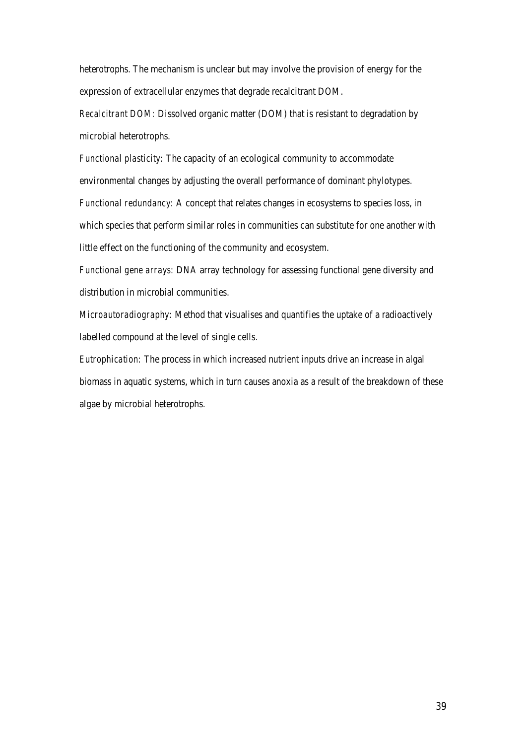heterotrophs. The mechanism is unclear but may involve the provision of energy for the expression of extracellular enzymes that degrade recalcitrant DOM.

*Recalcitrant DOM:* Dissolved organic matter (DOM) that is resistant to degradation by microbial heterotrophs.

*Functional plasticity:* The capacity of an ecological community to accommodate environmental changes by adjusting the overall performance of dominant phylotypes. *Functional redundancy:* A concept that relates changes in ecosystems to species loss, in which species that perform similar roles in communities can substitute for one another with little effect on the functioning of the community and ecosystem.

*Functional gene arrays:* DNA array technology for assessing functional gene diversity and distribution in microbial communities.

*Microautoradiography:* Method that visualises and quantifies the uptake of a radioactively labelled compound at the level of single cells.

*Eutrophication:* The process in which increased nutrient inputs drive an increase in algal biomass in aquatic systems, which in turn causes anoxia as a result of the breakdown of these algae by microbial heterotrophs.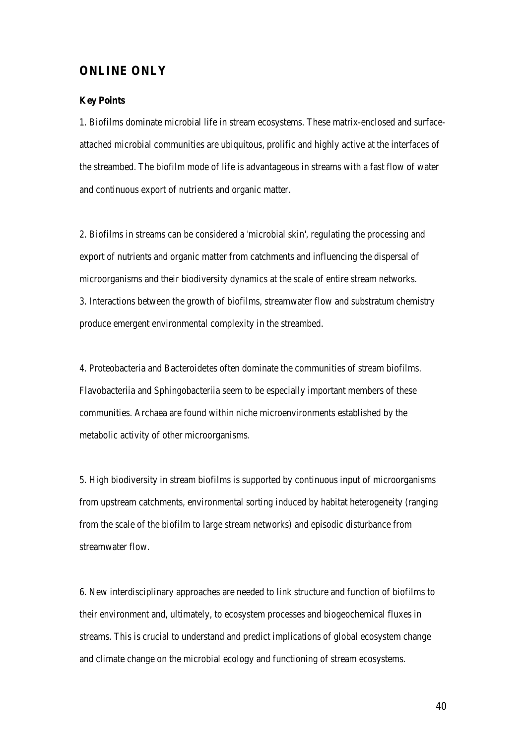## **ONLINE ONLY**

#### **Key Points**

1. Biofilms dominate microbial life in stream ecosystems. These matrix-enclosed and surfaceattached microbial communities are ubiquitous, prolific and highly active at the interfaces of the streambed. The biofilm mode of life is advantageous in streams with a fast flow of water and continuous export of nutrients and organic matter.

2. Biofilms in streams can be considered a 'microbial skin', regulating the processing and export of nutrients and organic matter from catchments and influencing the dispersal of microorganisms and their biodiversity dynamics at the scale of entire stream networks. 3. Interactions between the growth of biofilms, streamwater flow and substratum chemistry produce emergent environmental complexity in the streambed.

4. Proteobacteria and Bacteroidetes often dominate the communities of stream biofilms. Flavobacteriia and Sphingobacteriia seem to be especially important members of these communities. Archaea are found within niche microenvironments established by the metabolic activity of other microorganisms.

5. High biodiversity in stream biofilms is supported by continuous input of microorganisms from upstream catchments, environmental sorting induced by habitat heterogeneity (ranging from the scale of the biofilm to large stream networks) and episodic disturbance from streamwater flow.

6. New interdisciplinary approaches are needed to link structure and function of biofilms to their environment and, ultimately, to ecosystem processes and biogeochemical fluxes in streams. This is crucial to understand and predict implications of global ecosystem change and climate change on the microbial ecology and functioning of stream ecosystems.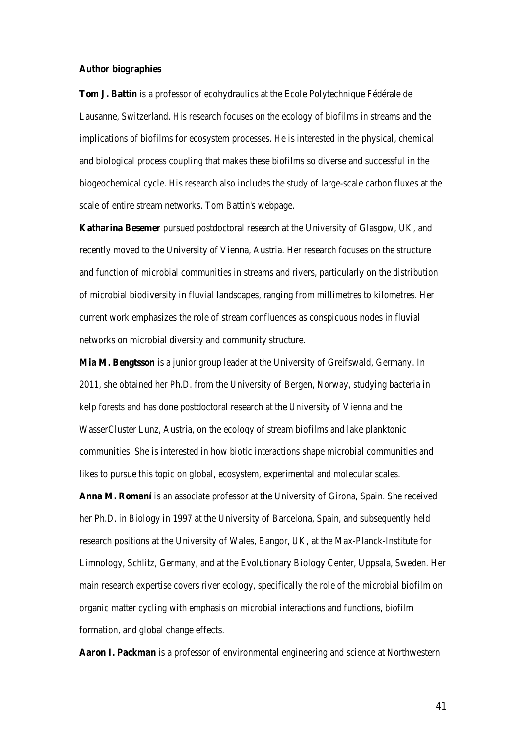#### **Author biographies**

**Tom J. Battin** is a professor of ecohydraulics at the Ecole Polytechnique Fédérale de Lausanne, Switzerland. His research focuses on the ecology of biofilms in streams and the implications of biofilms for ecosystem processes. He is interested in the physical, chemical and biological process coupling that makes these biofilms so diverse and successful in the biogeochemical cycle. His research also includes the study of large-scale carbon fluxes at the scale of entire stream networks. Tom Battin's webpage.

**Katharina Besemer** pursued postdoctoral research at the University of Glasgow, UK, and recently moved to the University of Vienna, Austria. Her research focuses on the structure and function of microbial communities in streams and rivers, particularly on the distribution of microbial biodiversity in fluvial landscapes, ranging from millimetres to kilometres. Her current work emphasizes the role of stream confluences as conspicuous nodes in fluvial networks on microbial diversity and community structure.

**Mia M. Bengtsson** is a junior group leader at the University of Greifswald, Germany. In 2011, she obtained her Ph.D. from the University of Bergen, Norway, studying bacteria in kelp forests and has done postdoctoral research at the University of Vienna and the WasserCluster Lunz, Austria, on the ecology of stream biofilms and lake planktonic communities. She is interested in how biotic interactions shape microbial communities and likes to pursue this topic on global, ecosystem, experimental and molecular scales.

**Anna M. Romaní** is an associate professor at the University of Girona, Spain. She received her Ph.D. in Biology in 1997 at the University of Barcelona, Spain, and subsequently held research positions at the University of Wales, Bangor, UK, at the Max-Planck-Institute for Limnology, Schlitz, Germany, and at the Evolutionary Biology Center, Uppsala, Sweden. Her main research expertise covers river ecology, specifically the role of the microbial biofilm on organic matter cycling with emphasis on microbial interactions and functions, biofilm formation, and global change effects.

**Aaron I. Packman** is a professor of environmental engineering and science at Northwestern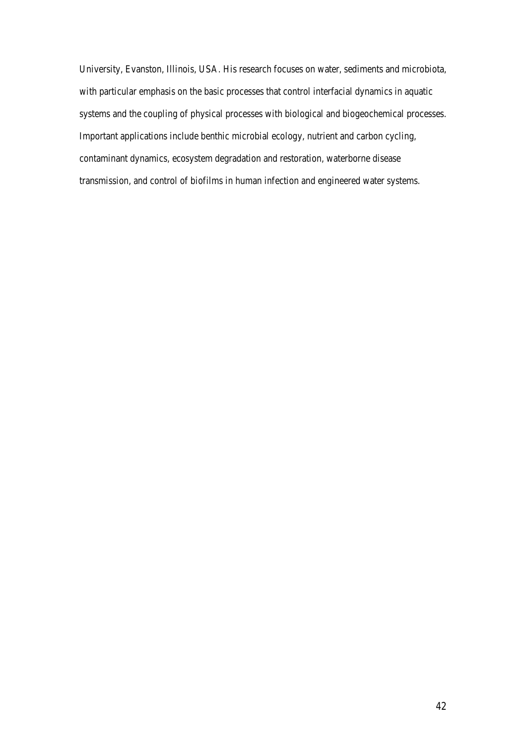University, Evanston, Illinois, USA. His research focuses on water, sediments and microbiota, with particular emphasis on the basic processes that control interfacial dynamics in aquatic systems and the coupling of physical processes with biological and biogeochemical processes. Important applications include benthic microbial ecology, nutrient and carbon cycling, contaminant dynamics, ecosystem degradation and restoration, waterborne disease transmission, and control of biofilms in human infection and engineered water systems.